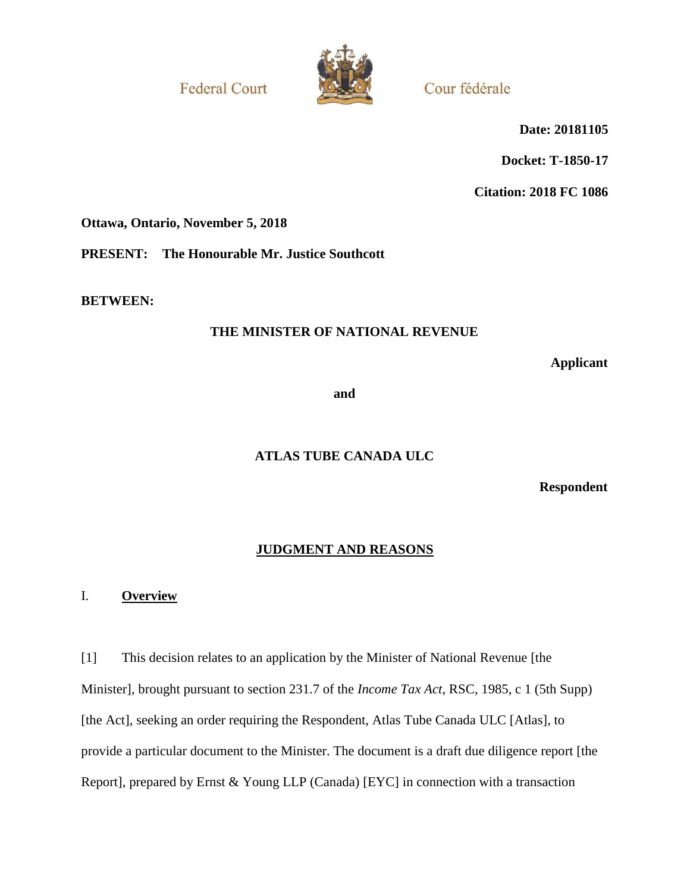**Federal Court** 



Cour fédérale

**Date: 20181105**

**Docket: T-1850-17**

**Citation: 2018 FC 1086**

**Ottawa, Ontario, November 5, 2018**

**PRESENT: The Honourable Mr. Justice Southcott**

**BETWEEN:**

## **THE MINISTER OF NATIONAL REVENUE**

**Applicant**

**and**

## **ATLAS TUBE CANADA ULC**

**Respondent**

## **JUDGMENT AND REASONS**

### I. **Overview**

[1] This decision relates to an application by the Minister of National Revenue [the Minister], brought pursuant to section 231.7 of the *Income Tax Act*, RSC, 1985, c 1 (5th Supp) [the Act], seeking an order requiring the Respondent, Atlas Tube Canada ULC [Atlas], to provide a particular document to the Minister. The document is a draft due diligence report [the Report], prepared by Ernst & Young LLP (Canada) [EYC] in connection with a transaction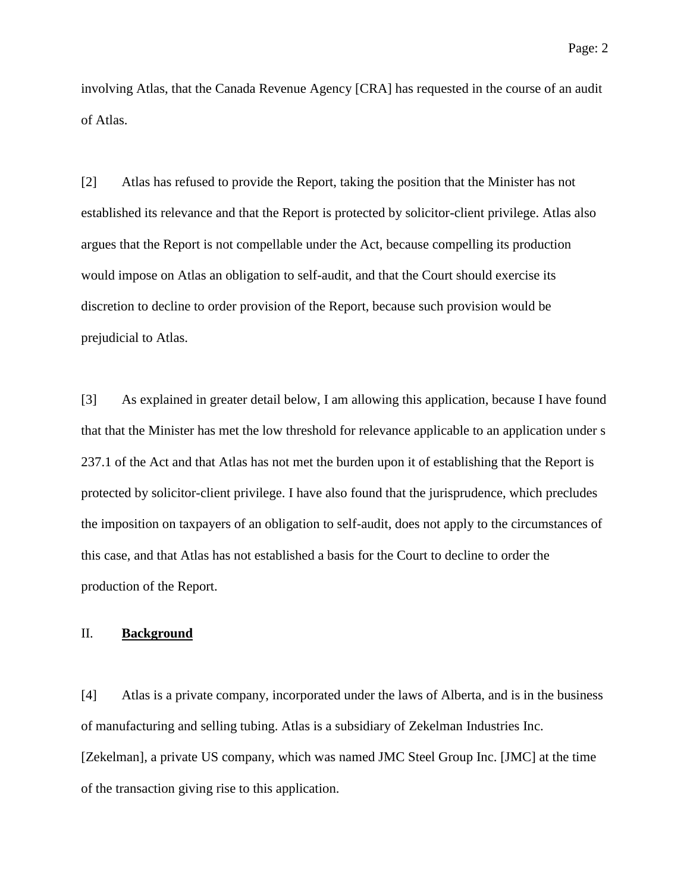involving Atlas, that the Canada Revenue Agency [CRA] has requested in the course of an audit of Atlas.

[2] Atlas has refused to provide the Report, taking the position that the Minister has not established its relevance and that the Report is protected by solicitor-client privilege. Atlas also argues that the Report is not compellable under the Act, because compelling its production would impose on Atlas an obligation to self-audit, and that the Court should exercise its discretion to decline to order provision of the Report, because such provision would be prejudicial to Atlas.

[3] As explained in greater detail below, I am allowing this application, because I have found that that the Minister has met the low threshold for relevance applicable to an application under s 237.1 of the Act and that Atlas has not met the burden upon it of establishing that the Report is protected by solicitor-client privilege. I have also found that the jurisprudence, which precludes the imposition on taxpayers of an obligation to self-audit, does not apply to the circumstances of this case, and that Atlas has not established a basis for the Court to decline to order the production of the Report.

### II. **Background**

[4] Atlas is a private company, incorporated under the laws of Alberta, and is in the business of manufacturing and selling tubing. Atlas is a subsidiary of Zekelman Industries Inc. [Zekelman], a private US company, which was named JMC Steel Group Inc. [JMC] at the time of the transaction giving rise to this application.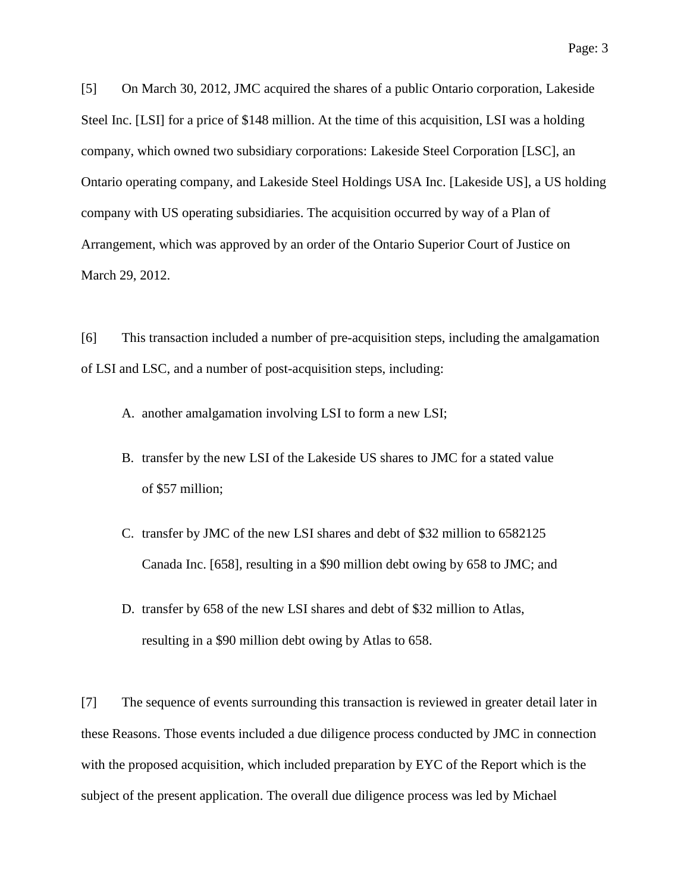[5] On March 30, 2012, JMC acquired the shares of a public Ontario corporation, Lakeside Steel Inc. [LSI] for a price of \$148 million. At the time of this acquisition, LSI was a holding company, which owned two subsidiary corporations: Lakeside Steel Corporation [LSC], an Ontario operating company, and Lakeside Steel Holdings USA Inc. [Lakeside US], a US holding company with US operating subsidiaries. The acquisition occurred by way of a Plan of Arrangement, which was approved by an order of the Ontario Superior Court of Justice on March 29, 2012.

[6] This transaction included a number of pre-acquisition steps, including the amalgamation of LSI and LSC, and a number of post-acquisition steps, including:

- A. another amalgamation involving LSI to form a new LSI;
- B. transfer by the new LSI of the Lakeside US shares to JMC for a stated value of \$57 million;
- C. transfer by JMC of the new LSI shares and debt of \$32 million to 6582125 Canada Inc. [658], resulting in a \$90 million debt owing by 658 to JMC; and
- D. transfer by 658 of the new LSI shares and debt of \$32 million to Atlas, resulting in a \$90 million debt owing by Atlas to 658.

[7] The sequence of events surrounding this transaction is reviewed in greater detail later in these Reasons. Those events included a due diligence process conducted by JMC in connection with the proposed acquisition, which included preparation by EYC of the Report which is the subject of the present application. The overall due diligence process was led by Michael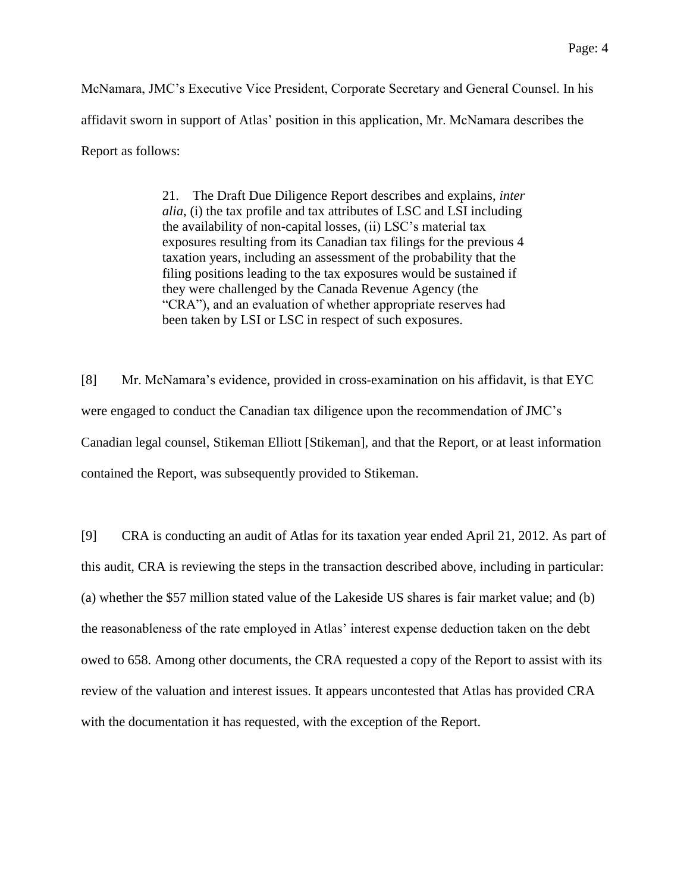McNamara, JMC's Executive Vice President, Corporate Secretary and General Counsel. In his affidavit sworn in support of Atlas' position in this application, Mr. McNamara describes the Report as follows:

> 21. The Draft Due Diligence Report describes and explains, *inter alia*, (i) the tax profile and tax attributes of LSC and LSI including the availability of non-capital losses, (ii) LSC's material tax exposures resulting from its Canadian tax filings for the previous 4 taxation years, including an assessment of the probability that the filing positions leading to the tax exposures would be sustained if they were challenged by the Canada Revenue Agency (the "CRA"), and an evaluation of whether appropriate reserves had been taken by LSI or LSC in respect of such exposures.

[8] Mr. McNamara's evidence, provided in cross-examination on his affidavit, is that EYC were engaged to conduct the Canadian tax diligence upon the recommendation of JMC's Canadian legal counsel, Stikeman Elliott [Stikeman], and that the Report, or at least information contained the Report, was subsequently provided to Stikeman.

[9] CRA is conducting an audit of Atlas for its taxation year ended April 21, 2012. As part of this audit, CRA is reviewing the steps in the transaction described above, including in particular: (a) whether the \$57 million stated value of the Lakeside US shares is fair market value; and (b) the reasonableness of the rate employed in Atlas' interest expense deduction taken on the debt owed to 658. Among other documents, the CRA requested a copy of the Report to assist with its review of the valuation and interest issues. It appears uncontested that Atlas has provided CRA with the documentation it has requested, with the exception of the Report.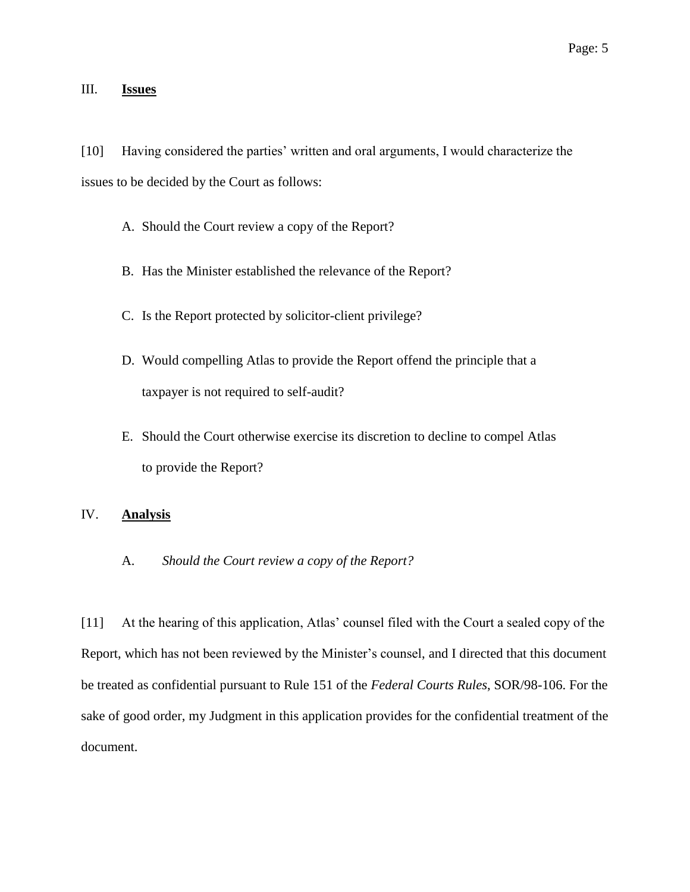## III. **Issues**

[10] Having considered the parties' written and oral arguments, I would characterize the issues to be decided by the Court as follows:

- A. Should the Court review a copy of the Report?
- B. Has the Minister established the relevance of the Report?
- C. Is the Report protected by solicitor-client privilege?
- D. Would compelling Atlas to provide the Report offend the principle that a taxpayer is not required to self-audit?
- E. Should the Court otherwise exercise its discretion to decline to compel Atlas to provide the Report?

## IV. **Analysis**

### A. *Should the Court review a copy of the Report?*

[11] At the hearing of this application, Atlas' counsel filed with the Court a sealed copy of the Report, which has not been reviewed by the Minister's counsel, and I directed that this document be treated as confidential pursuant to Rule 151 of the *Federal Courts Rules*, SOR/98-106. For the sake of good order, my Judgment in this application provides for the confidential treatment of the document.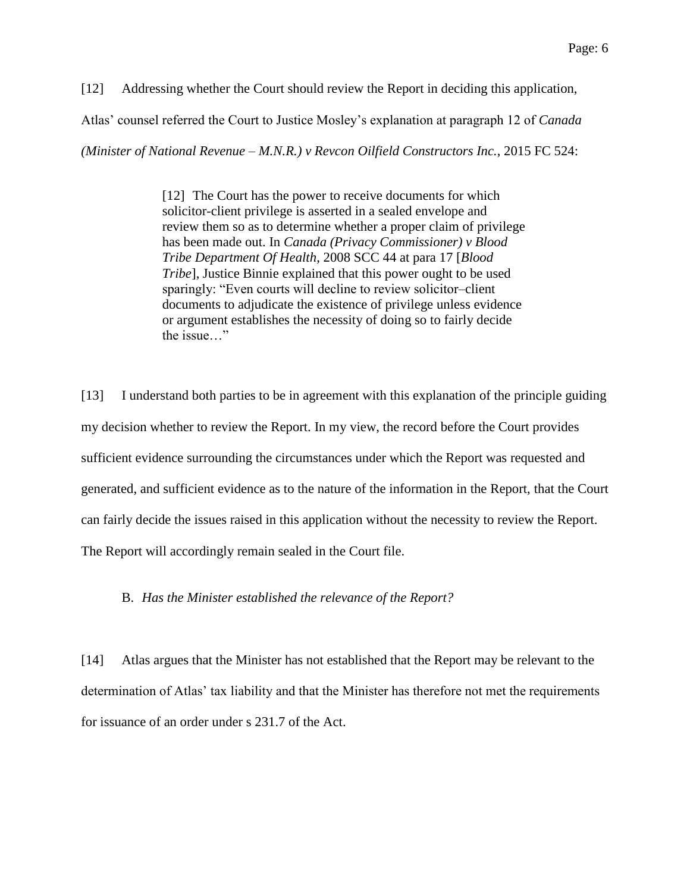[12] Addressing whether the Court should review the Report in deciding this application,

Atlas' counsel referred the Court to Justice Mosley's explanation at paragraph 12 of *Canada* 

*(Minister of National Revenue – M.N.R.) v Revcon Oilfield Constructors Inc.*, 2015 FC 524:

[12] The Court has the power to receive documents for which solicitor-client privilege is asserted in a sealed envelope and review them so as to determine whether a proper claim of privilege has been made out. In *Canada (Privacy Commissioner) v Blood Tribe Department Of Health*, 2008 SCC 44 at para 17 [*Blood Tribe*], Justice Binnie explained that this power ought to be used sparingly: "Even courts will decline to review solicitor–client documents to adjudicate the existence of privilege unless evidence or argument establishes the necessity of doing so to fairly decide the issue…"

[13] I understand both parties to be in agreement with this explanation of the principle guiding my decision whether to review the Report. In my view, the record before the Court provides sufficient evidence surrounding the circumstances under which the Report was requested and generated, and sufficient evidence as to the nature of the information in the Report, that the Court can fairly decide the issues raised in this application without the necessity to review the Report. The Report will accordingly remain sealed in the Court file.

### B. *Has the Minister established the relevance of the Report?*

[14] Atlas argues that the Minister has not established that the Report may be relevant to the determination of Atlas' tax liability and that the Minister has therefore not met the requirements for issuance of an order under s 231.7 of the Act.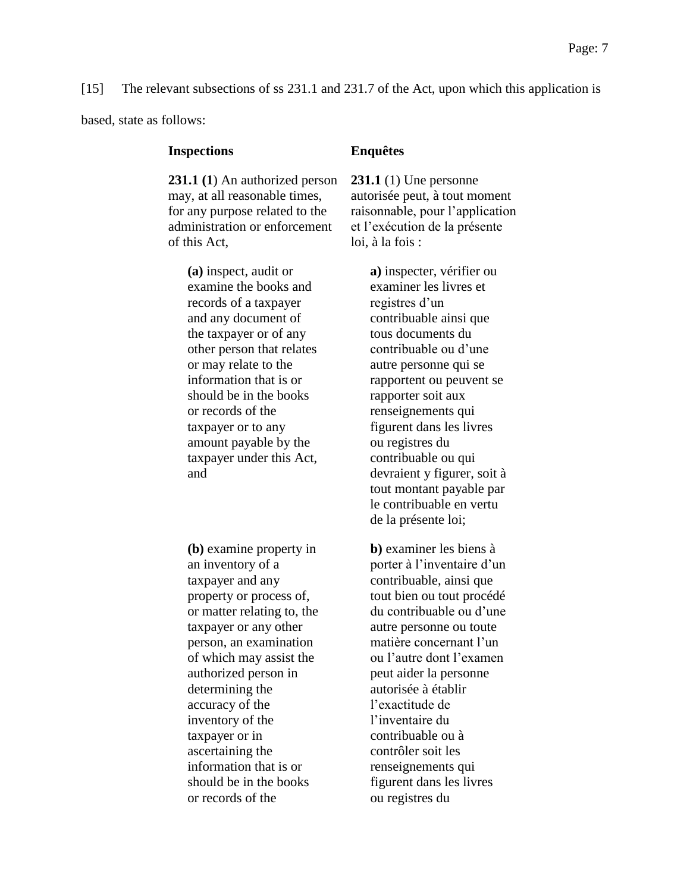### [15] The relevant subsections of ss 231.1 and 231.7 of the Act, upon which this application is

based, state as follows:

### **Inspections Enquêtes**

**231.1 (1**) An authorized person may, at all reasonable times, for any purpose related to the administration or enforcement of this Act,

> **(a)** inspect, audit or examine the books and records of a taxpayer and any document of the taxpayer or of any other person that relates or may relate to the information that is or should be in the books or records of the taxpayer or to any amount payable by the taxpayer under this Act, and

**(b)** examine property in an inventory of a taxpayer and any property or process of, or matter relating to, the taxpayer or any other person, an examination of which may assist the authorized person in determining the accuracy of the inventory of the taxpayer or in ascertaining the information that is or should be in the books or records of the

**231.1** (1) Une personne autorisée peut, à tout moment raisonnable, pour l'application et l'exécution de la présente loi, à la fois :

> **a)** inspecter, vérifier ou examiner les livres et registres d'un contribuable ainsi que tous documents du contribuable ou d'une autre personne qui se rapportent ou peuvent se rapporter soit aux renseignements qui figurent dans les livres ou registres du contribuable ou qui devraient y figurer, soit à tout montant payable par le contribuable en vertu de la présente loi;

> **b)** examiner les biens à porter à l'inventaire d'un contribuable, ainsi que tout bien ou tout procédé du contribuable ou d'une autre personne ou toute matière concernant l'un ou l'autre dont l'examen peut aider la personne autorisée à établir l'exactitude de l'inventaire du contribuable ou à contrôler soit les renseignements qui figurent dans les livres ou registres du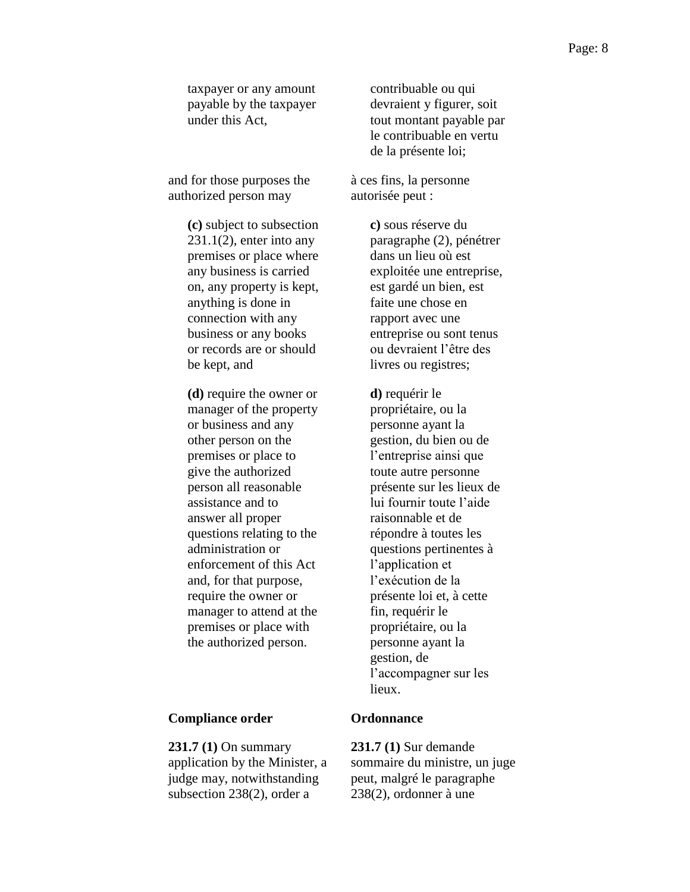taxpayer or any amount payable by the taxpayer under this Act,

and for those purposes the authorized person may

> **(c)** subject to subsection  $231.1(2)$ , enter into any premises or place where any business is carried on, any property is kept, anything is done in connection with any business or any books or records are or should be kept, and

> **(d)** require the owner or manager of the property or business and any other person on the premises or place to give the authorized person all reasonable assistance and to answer all proper questions relating to the administration or enforcement of this Act and, for that purpose, require the owner or manager to attend at the premises or place with the authorized person.

### **Compliance order Ordonnance**

**231.7 (1)** On summary application by the Minister, a judge may, notwithstanding subsection 238(2), order a

contribuable ou qui devraient y figurer, soit tout montant payable par le contribuable en vertu de la présente loi;

à ces fins, la personne autorisée peut :

> **c)** sous réserve du paragraphe (2), pénétrer dans un lieu où est exploitée une entreprise, est gardé un bien, est faite une chose en rapport avec une entreprise ou sont tenus ou devraient l'être des livres ou registres;

**d)** requérir le propriétaire, ou la personne ayant la gestion, du bien ou de l'entreprise ainsi que toute autre personne présente sur les lieux de lui fournir toute l'aide raisonnable et de répondre à toutes les questions pertinentes à l'application et l'exécution de la présente loi et, à cette fin, requérir le propriétaire, ou la personne ayant la gestion, de l'accompagner sur les lieux.

**231.7 (1)** Sur demande sommaire du ministre, un juge peut, malgré le paragraphe 238(2), ordonner à une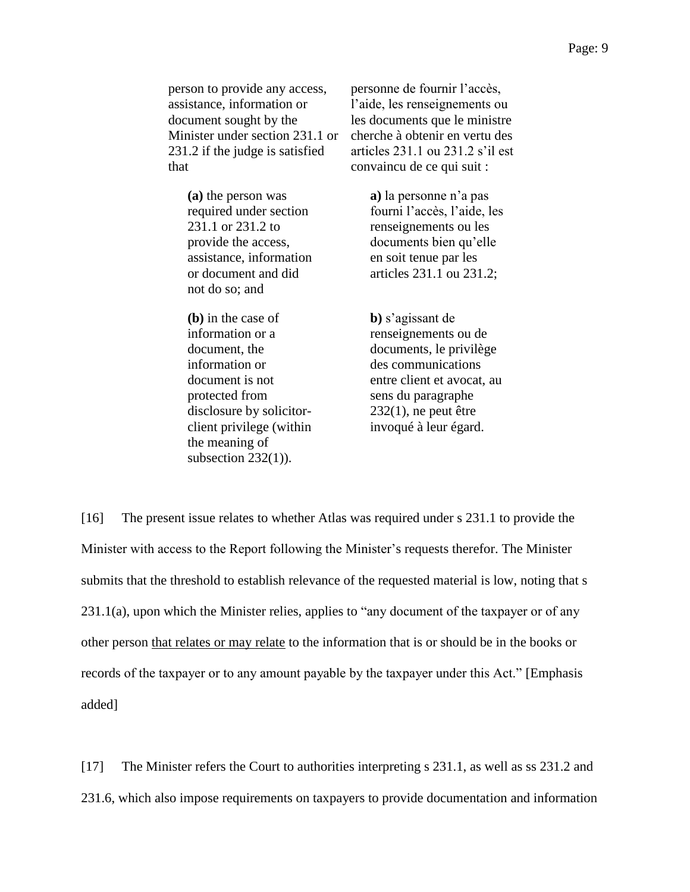person to provide any access, assistance, information or document sought by the Minister under section 231.1 or 231.2 if the judge is satisfied that

> **(a)** the person was required under section 231.1 or 231.2 to provide the access, assistance, information or document and did not do so; and

> **(b)** in the case of information or a document, the information or document is not protected from disclosure by solicitorclient privilege (within the meaning of subsection 232(1)).

personne de fournir l'accès, l'aide, les renseignements ou les documents que le ministre cherche à obtenir en vertu des articles 231.1 ou 231.2 s'il est convaincu de ce qui suit :

> **a)** la personne n'a pas fourni l'accès, l'aide, les renseignements ou les documents bien qu'elle en soit tenue par les articles 231.1 ou 231.2;

**b)** s'agissant de renseignements ou de documents, le privilège des communications entre client et avocat, au sens du paragraphe  $232(1)$ , ne peut être invoqué à leur égard.

[16] The present issue relates to whether Atlas was required under s 231.1 to provide the Minister with access to the Report following the Minister's requests therefor. The Minister submits that the threshold to establish relevance of the requested material is low, noting that s 231.1(a), upon which the Minister relies, applies to "any document of the taxpayer or of any other person that relates or may relate to the information that is or should be in the books or records of the taxpayer or to any amount payable by the taxpayer under this Act." [Emphasis added]

[17] The Minister refers the Court to authorities interpreting s 231.1, as well as ss 231.2 and 231.6, which also impose requirements on taxpayers to provide documentation and information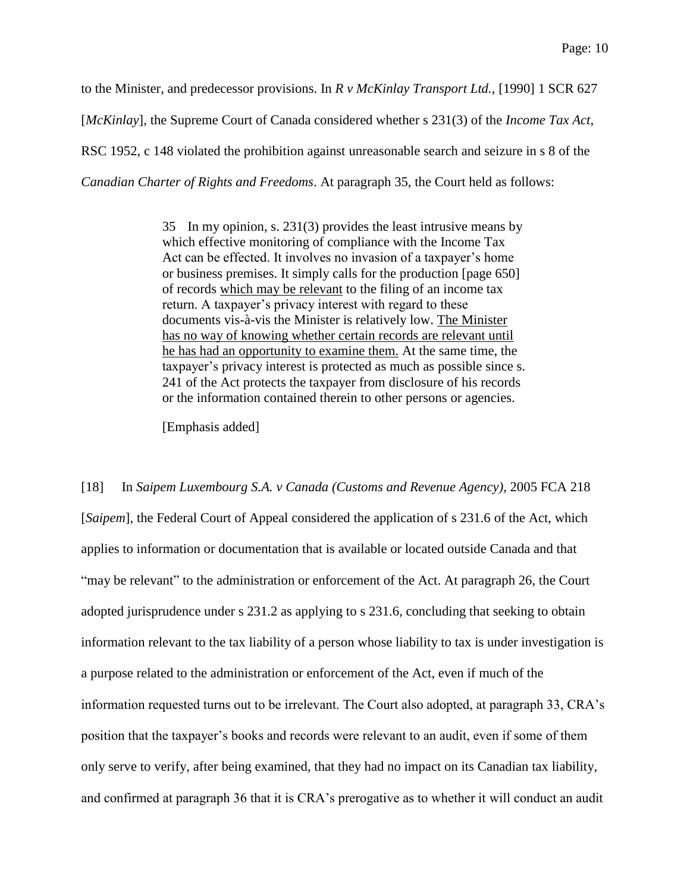to the Minister, and predecessor provisions. In *R v McKinlay Transport Ltd.*, [1990] 1 SCR 627 [*McKinlay*], the Supreme Court of Canada considered whether s 231(3) of the *Income Tax Act*, RSC 1952, c 148 violated the prohibition against unreasonable search and seizure in s 8 of the *Canadian Charter of Rights and Freedoms*. At paragraph 35, the Court held as follows:

> 35 In my opinion, s. 231(3) provides the least intrusive means by which effective monitoring of compliance with the Income Tax Act can be effected. It involves no invasion of a taxpayer's home or business premises. It simply calls for the production [page 650] of records which may be relevant to the filing of an income tax return. A taxpayer's privacy interest with regard to these documents vis-à-vis the Minister is relatively low. The Minister has no way of knowing whether certain records are relevant until he has had an opportunity to examine them. At the same time, the taxpayer's privacy interest is protected as much as possible since s. 241 of the Act protects the taxpayer from disclosure of his records or the information contained therein to other persons or agencies.

[Emphasis added]

[18] In *Saipem Luxembourg S.A. v Canada (Customs and Revenue Agency)*, 2005 FCA 218 [*Saipem*], the Federal Court of Appeal considered the application of s 231.6 of the Act, which applies to information or documentation that is available or located outside Canada and that "may be relevant" to the administration or enforcement of the Act. At paragraph 26, the Court adopted jurisprudence under s 231.2 as applying to s 231.6, concluding that seeking to obtain information relevant to the tax liability of a person whose liability to tax is under investigation is a purpose related to the administration or enforcement of the Act, even if much of the information requested turns out to be irrelevant. The Court also adopted, at paragraph 33, CRA's position that the taxpayer's books and records were relevant to an audit, even if some of them only serve to verify, after being examined, that they had no impact on its Canadian tax liability, and confirmed at paragraph 36 that it is CRA's prerogative as to whether it will conduct an audit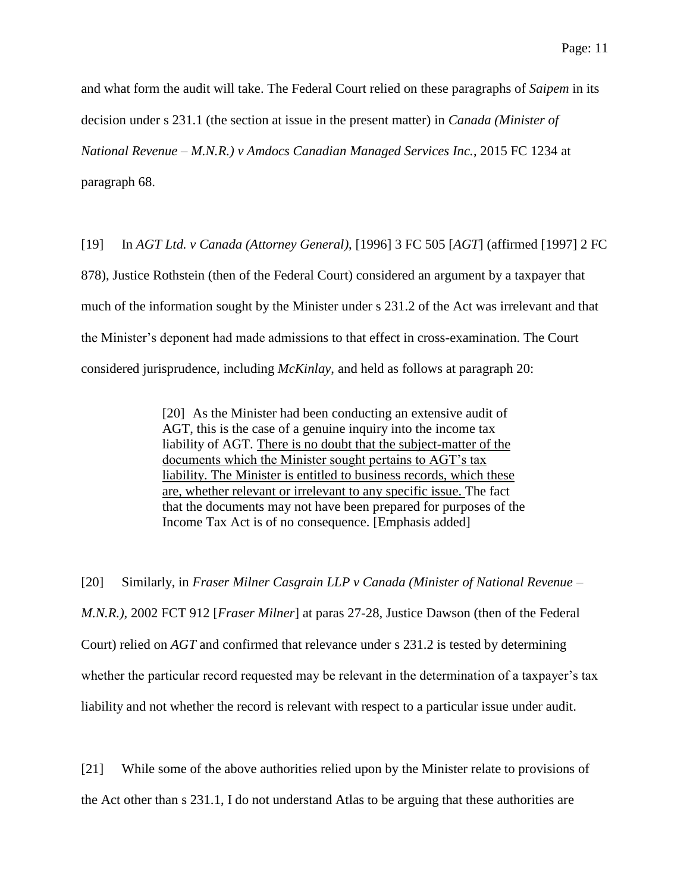and what form the audit will take. The Federal Court relied on these paragraphs of *Saipem* in its decision under s 231.1 (the section at issue in the present matter) in *Canada (Minister of National Revenue – M.N.R.) v Amdocs Canadian Managed Services Inc.*, 2015 FC 1234 at paragraph 68.

[19] In *AGT Ltd. v Canada (Attorney General)*, [1996] 3 FC 505 [*AGT*] (affirmed [1997] 2 FC 878), Justice Rothstein (then of the Federal Court) considered an argument by a taxpayer that much of the information sought by the Minister under s 231.2 of the Act was irrelevant and that the Minister's deponent had made admissions to that effect in cross-examination. The Court considered jurisprudence, including *McKinlay*, and held as follows at paragraph 20:

> [20] As the Minister had been conducting an extensive audit of AGT, this is the case of a genuine inquiry into the income tax liability of AGT. There is no doubt that the subject-matter of the documents which the Minister sought pertains to AGT's tax liability. The Minister is entitled to business records, which these are, whether relevant or irrelevant to any specific issue. The fact that the documents may not have been prepared for purposes of the Income Tax Act is of no consequence. [Emphasis added]

[20] Similarly, in *Fraser Milner Casgrain LLP v Canada (Minister of National Revenue – M.N.R.)*, 2002 FCT 912 [*Fraser Milner*] at paras 27-28, Justice Dawson (then of the Federal Court) relied on *AGT* and confirmed that relevance under s 231.2 is tested by determining whether the particular record requested may be relevant in the determination of a taxpayer's tax liability and not whether the record is relevant with respect to a particular issue under audit.

[21] While some of the above authorities relied upon by the Minister relate to provisions of the Act other than s 231.1, I do not understand Atlas to be arguing that these authorities are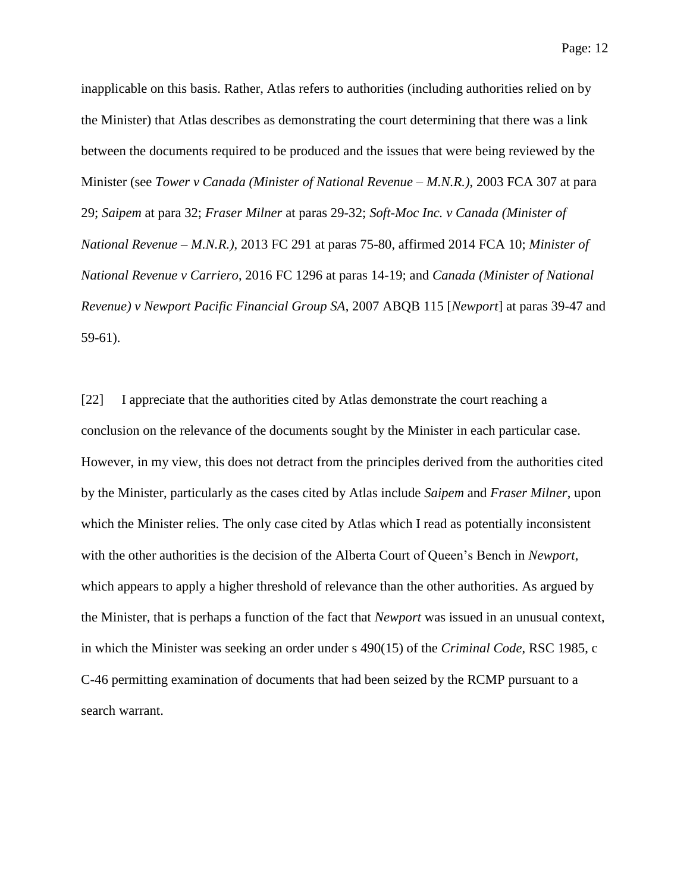inapplicable on this basis. Rather, Atlas refers to authorities (including authorities relied on by the Minister) that Atlas describes as demonstrating the court determining that there was a link between the documents required to be produced and the issues that were being reviewed by the Minister (see *Tower v Canada (Minister of National Revenue – M.N.R.)*, 2003 FCA 307 at para 29; *Saipem* at para 32; *Fraser Milner* at paras 29-32; *Soft-Moc Inc. v Canada (Minister of National Revenue – M.N.R.)*, 2013 FC 291 at paras 75-80, affirmed 2014 FCA 10; *Minister of National Revenue v Carriero*, 2016 FC 1296 at paras 14-19; and *Canada (Minister of National Revenue) v Newport Pacific Financial Group SA*, 2007 ABQB 115 [*Newport*] at paras 39-47 and 59-61).

[22] I appreciate that the authorities cited by Atlas demonstrate the court reaching a conclusion on the relevance of the documents sought by the Minister in each particular case. However, in my view, this does not detract from the principles derived from the authorities cited by the Minister, particularly as the cases cited by Atlas include *Saipem* and *Fraser Milner*, upon which the Minister relies. The only case cited by Atlas which I read as potentially inconsistent with the other authorities is the decision of the Alberta Court of Queen's Bench in *Newport*, which appears to apply a higher threshold of relevance than the other authorities. As argued by the Minister, that is perhaps a function of the fact that *Newport* was issued in an unusual context, in which the Minister was seeking an order under s 490(15) of the *Criminal Code*, RSC 1985, c C-46 permitting examination of documents that had been seized by the RCMP pursuant to a search warrant.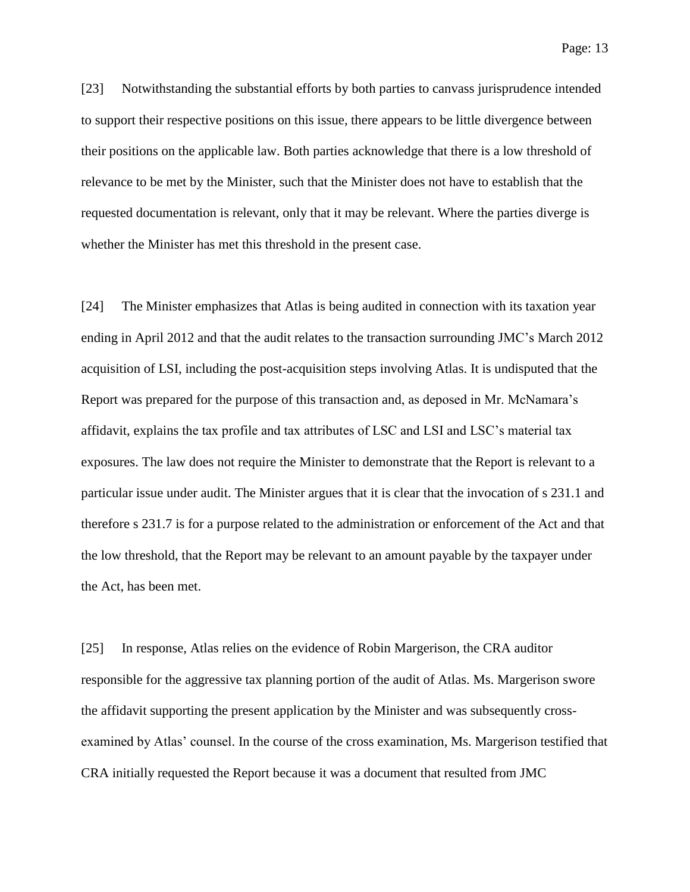Page: 13

[23] Notwithstanding the substantial efforts by both parties to canvass jurisprudence intended to support their respective positions on this issue, there appears to be little divergence between their positions on the applicable law. Both parties acknowledge that there is a low threshold of relevance to be met by the Minister, such that the Minister does not have to establish that the requested documentation is relevant, only that it may be relevant. Where the parties diverge is whether the Minister has met this threshold in the present case.

[24] The Minister emphasizes that Atlas is being audited in connection with its taxation year ending in April 2012 and that the audit relates to the transaction surrounding JMC's March 2012 acquisition of LSI, including the post-acquisition steps involving Atlas. It is undisputed that the Report was prepared for the purpose of this transaction and, as deposed in Mr. McNamara's affidavit, explains the tax profile and tax attributes of LSC and LSI and LSC's material tax exposures. The law does not require the Minister to demonstrate that the Report is relevant to a particular issue under audit. The Minister argues that it is clear that the invocation of s 231.1 and therefore s 231.7 is for a purpose related to the administration or enforcement of the Act and that the low threshold, that the Report may be relevant to an amount payable by the taxpayer under the Act, has been met.

[25] In response, Atlas relies on the evidence of Robin Margerison, the CRA auditor responsible for the aggressive tax planning portion of the audit of Atlas. Ms. Margerison swore the affidavit supporting the present application by the Minister and was subsequently crossexamined by Atlas' counsel. In the course of the cross examination, Ms. Margerison testified that CRA initially requested the Report because it was a document that resulted from JMC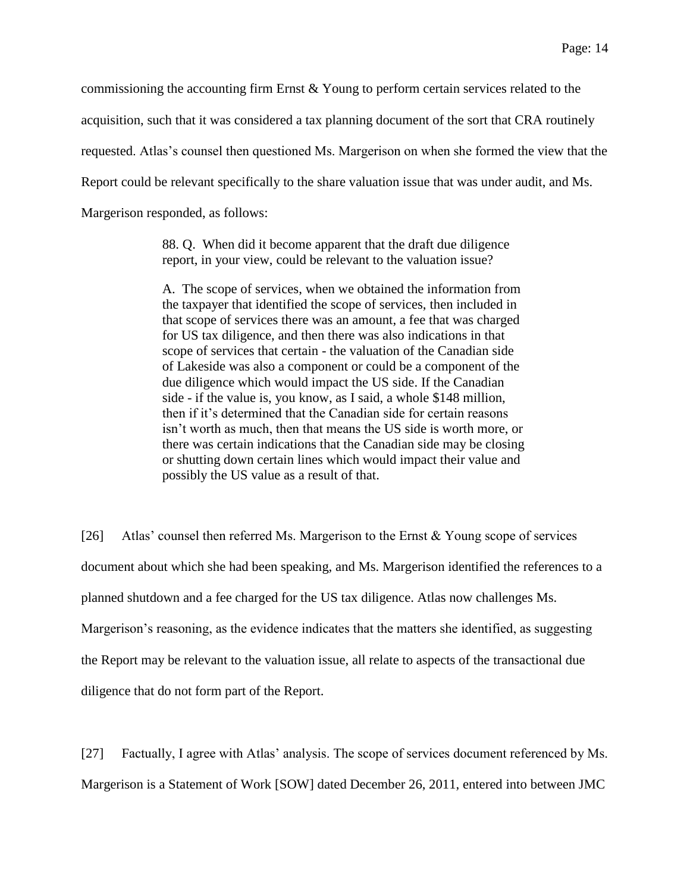commissioning the accounting firm Ernst & Young to perform certain services related to the acquisition, such that it was considered a tax planning document of the sort that CRA routinely requested. Atlas's counsel then questioned Ms. Margerison on when she formed the view that the Report could be relevant specifically to the share valuation issue that was under audit, and Ms. Margerison responded, as follows:

> 88. Q. When did it become apparent that the draft due diligence report, in your view, could be relevant to the valuation issue?

A. The scope of services, when we obtained the information from the taxpayer that identified the scope of services, then included in that scope of services there was an amount, a fee that was charged for US tax diligence, and then there was also indications in that scope of services that certain - the valuation of the Canadian side of Lakeside was also a component or could be a component of the due diligence which would impact the US side. If the Canadian side - if the value is, you know, as I said, a whole \$148 million, then if it's determined that the Canadian side for certain reasons isn't worth as much, then that means the US side is worth more, or there was certain indications that the Canadian side may be closing or shutting down certain lines which would impact their value and possibly the US value as a result of that.

[26] Atlas' counsel then referred Ms. Margerison to the Ernst & Young scope of services document about which she had been speaking, and Ms. Margerison identified the references to a planned shutdown and a fee charged for the US tax diligence. Atlas now challenges Ms. Margerison's reasoning, as the evidence indicates that the matters she identified, as suggesting the Report may be relevant to the valuation issue, all relate to aspects of the transactional due diligence that do not form part of the Report.

[27] Factually, I agree with Atlas' analysis. The scope of services document referenced by Ms. Margerison is a Statement of Work [SOW] dated December 26, 2011, entered into between JMC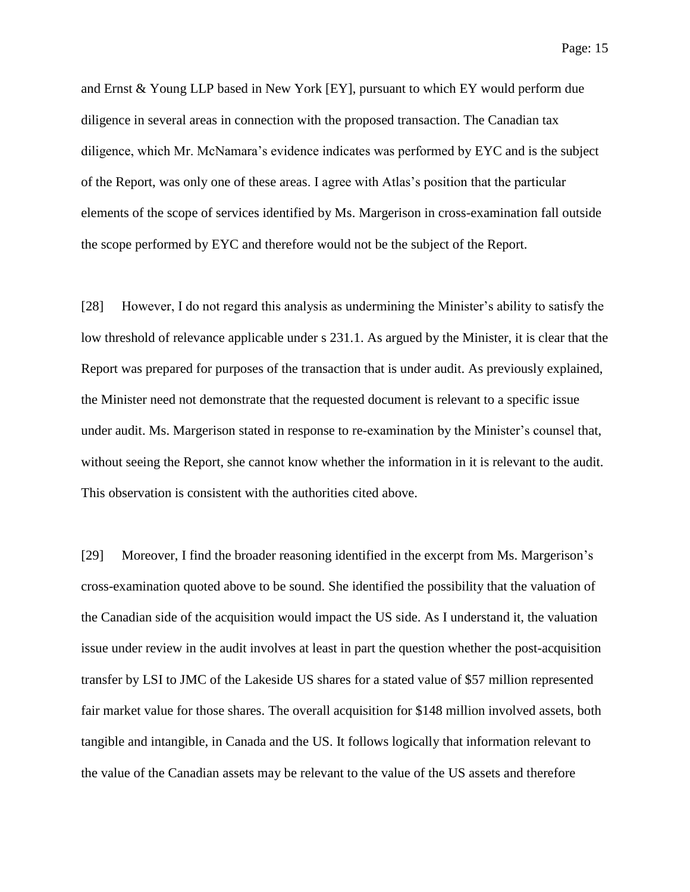and Ernst & Young LLP based in New York [EY], pursuant to which EY would perform due diligence in several areas in connection with the proposed transaction. The Canadian tax diligence, which Mr. McNamara's evidence indicates was performed by EYC and is the subject of the Report, was only one of these areas. I agree with Atlas's position that the particular elements of the scope of services identified by Ms. Margerison in cross-examination fall outside the scope performed by EYC and therefore would not be the subject of the Report.

[28] However, I do not regard this analysis as undermining the Minister's ability to satisfy the low threshold of relevance applicable under s 231.1. As argued by the Minister, it is clear that the Report was prepared for purposes of the transaction that is under audit. As previously explained, the Minister need not demonstrate that the requested document is relevant to a specific issue under audit. Ms. Margerison stated in response to re-examination by the Minister's counsel that, without seeing the Report, she cannot know whether the information in it is relevant to the audit. This observation is consistent with the authorities cited above.

[29] Moreover, I find the broader reasoning identified in the excerpt from Ms. Margerison's cross-examination quoted above to be sound. She identified the possibility that the valuation of the Canadian side of the acquisition would impact the US side. As I understand it, the valuation issue under review in the audit involves at least in part the question whether the post-acquisition transfer by LSI to JMC of the Lakeside US shares for a stated value of \$57 million represented fair market value for those shares. The overall acquisition for \$148 million involved assets, both tangible and intangible, in Canada and the US. It follows logically that information relevant to the value of the Canadian assets may be relevant to the value of the US assets and therefore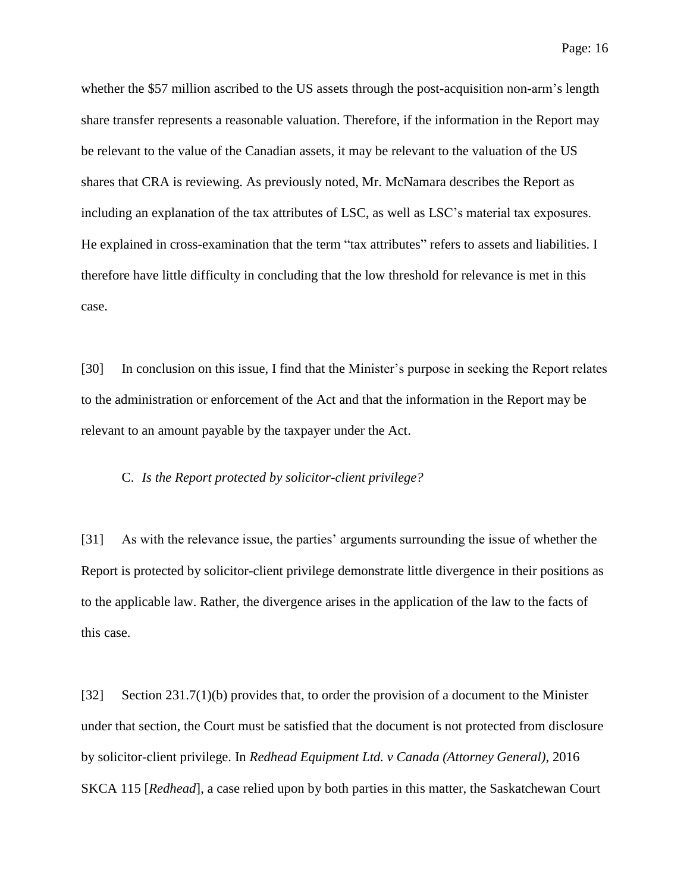Page: 16

whether the \$57 million ascribed to the US assets through the post-acquisition non-arm's length share transfer represents a reasonable valuation. Therefore, if the information in the Report may be relevant to the value of the Canadian assets, it may be relevant to the valuation of the US shares that CRA is reviewing. As previously noted, Mr. McNamara describes the Report as including an explanation of the tax attributes of LSC, as well as LSC's material tax exposures. He explained in cross-examination that the term "tax attributes" refers to assets and liabilities. I therefore have little difficulty in concluding that the low threshold for relevance is met in this case.

[30] In conclusion on this issue, I find that the Minister's purpose in seeking the Report relates to the administration or enforcement of the Act and that the information in the Report may be relevant to an amount payable by the taxpayer under the Act.

## C. *Is the Report protected by solicitor-client privilege?*

[31] As with the relevance issue, the parties' arguments surrounding the issue of whether the Report is protected by solicitor-client privilege demonstrate little divergence in their positions as to the applicable law. Rather, the divergence arises in the application of the law to the facts of this case.

[32] Section 231.7(1)(b) provides that, to order the provision of a document to the Minister under that section, the Court must be satisfied that the document is not protected from disclosure by solicitor-client privilege. In *Redhead Equipment Ltd. v Canada (Attorney General)*, 2016 SKCA 115 [*Redhead*], a case relied upon by both parties in this matter, the Saskatchewan Court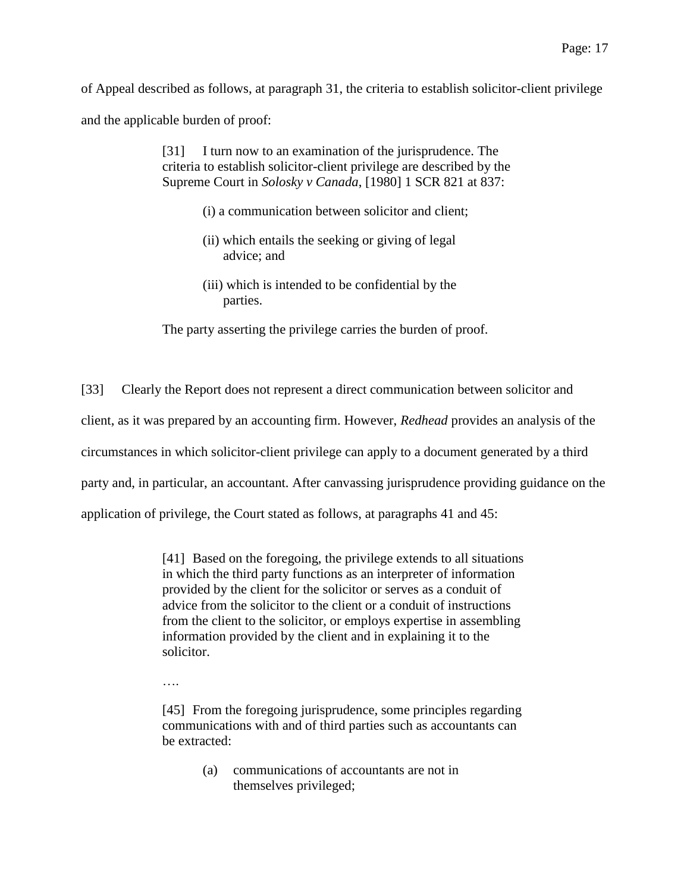of Appeal described as follows, at paragraph 31, the criteria to establish solicitor-client privilege and the applicable burden of proof:

> [31] I turn now to an examination of the jurisprudence. The criteria to establish solicitor-client privilege are described by the Supreme Court in *Solosky v Canada*, [1980] 1 SCR 821 at 837:

- (i) a communication between solicitor and client;
- (ii) which entails the seeking or giving of legal advice; and
- (iii) which is intended to be confidential by the parties.

The party asserting the privilege carries the burden of proof.

[33] Clearly the Report does not represent a direct communication between solicitor and client, as it was prepared by an accounting firm. However, *Redhead* provides an analysis of the circumstances in which solicitor-client privilege can apply to a document generated by a third party and, in particular, an accountant. After canvassing jurisprudence providing guidance on the application of privilege, the Court stated as follows, at paragraphs 41 and 45:

> [41] Based on the foregoing, the privilege extends to all situations in which the third party functions as an interpreter of information provided by the client for the solicitor or serves as a conduit of advice from the solicitor to the client or a conduit of instructions from the client to the solicitor, or employs expertise in assembling information provided by the client and in explaining it to the solicitor.

[45] From the foregoing jurisprudence, some principles regarding communications with and of third parties such as accountants can be extracted:

> (a) communications of accountants are not in themselves privileged;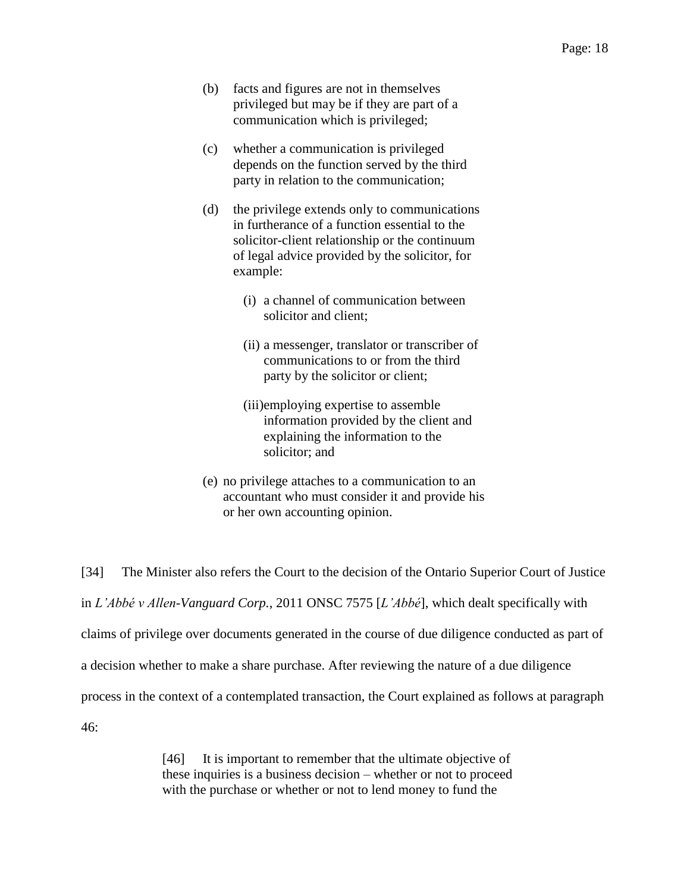- (b) facts and figures are not in themselves privileged but may be if they are part of a communication which is privileged;
- (c) whether a communication is privileged depends on the function served by the third party in relation to the communication;
- (d) the privilege extends only to communications in furtherance of a function essential to the solicitor-client relationship or the continuum of legal advice provided by the solicitor, for example:
	- (i) a channel of communication between solicitor and client;
	- (ii) a messenger, translator or transcriber of communications to or from the third party by the solicitor or client;
	- (iii)employing expertise to assemble information provided by the client and explaining the information to the solicitor; and
- (e) no privilege attaches to a communication to an accountant who must consider it and provide his or her own accounting opinion.

[34] The Minister also refers the Court to the decision of the Ontario Superior Court of Justice in *L'Abbé v Allen-Vanguard Corp.*, 2011 ONSC 7575 [*L'Abbé*], which dealt specifically with claims of privilege over documents generated in the course of due diligence conducted as part of a decision whether to make a share purchase. After reviewing the nature of a due diligence process in the context of a contemplated transaction, the Court explained as follows at paragraph 46:

> [46] It is important to remember that the ultimate objective of these inquiries is a business decision – whether or not to proceed with the purchase or whether or not to lend money to fund the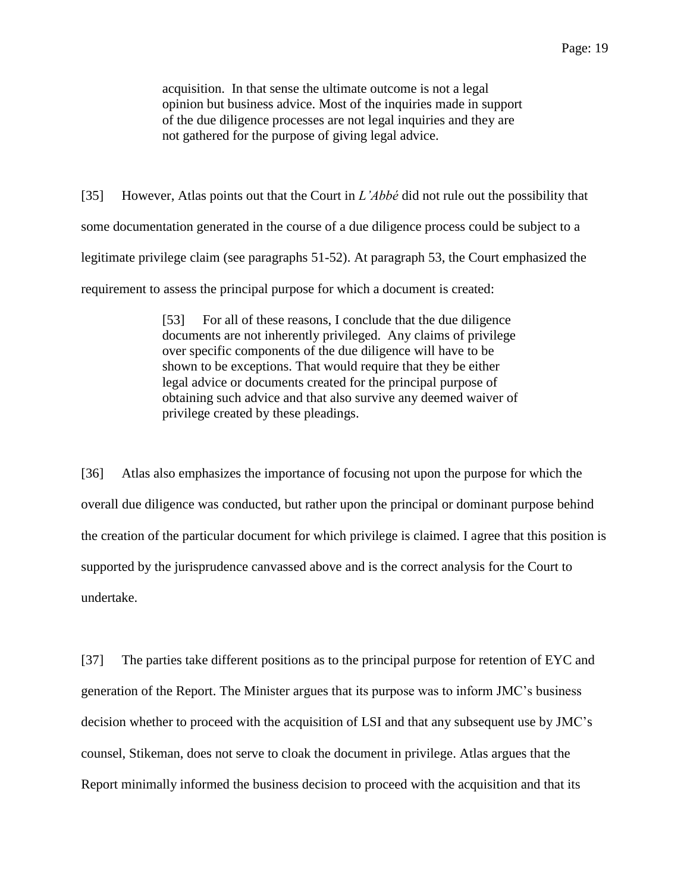acquisition. In that sense the ultimate outcome is not a legal opinion but business advice. Most of the inquiries made in support of the due diligence processes are not legal inquiries and they are not gathered for the purpose of giving legal advice.

[35] However, Atlas points out that the Court in *L'Abbé* did not rule out the possibility that some documentation generated in the course of a due diligence process could be subject to a legitimate privilege claim (see paragraphs 51-52). At paragraph 53, the Court emphasized the requirement to assess the principal purpose for which a document is created:

> [53] For all of these reasons, I conclude that the due diligence documents are not inherently privileged. Any claims of privilege over specific components of the due diligence will have to be shown to be exceptions. That would require that they be either legal advice or documents created for the principal purpose of obtaining such advice and that also survive any deemed waiver of privilege created by these pleadings.

[36] Atlas also emphasizes the importance of focusing not upon the purpose for which the overall due diligence was conducted, but rather upon the principal or dominant purpose behind the creation of the particular document for which privilege is claimed. I agree that this position is supported by the jurisprudence canvassed above and is the correct analysis for the Court to undertake.

[37] The parties take different positions as to the principal purpose for retention of EYC and generation of the Report. The Minister argues that its purpose was to inform JMC's business decision whether to proceed with the acquisition of LSI and that any subsequent use by JMC's counsel, Stikeman, does not serve to cloak the document in privilege. Atlas argues that the Report minimally informed the business decision to proceed with the acquisition and that its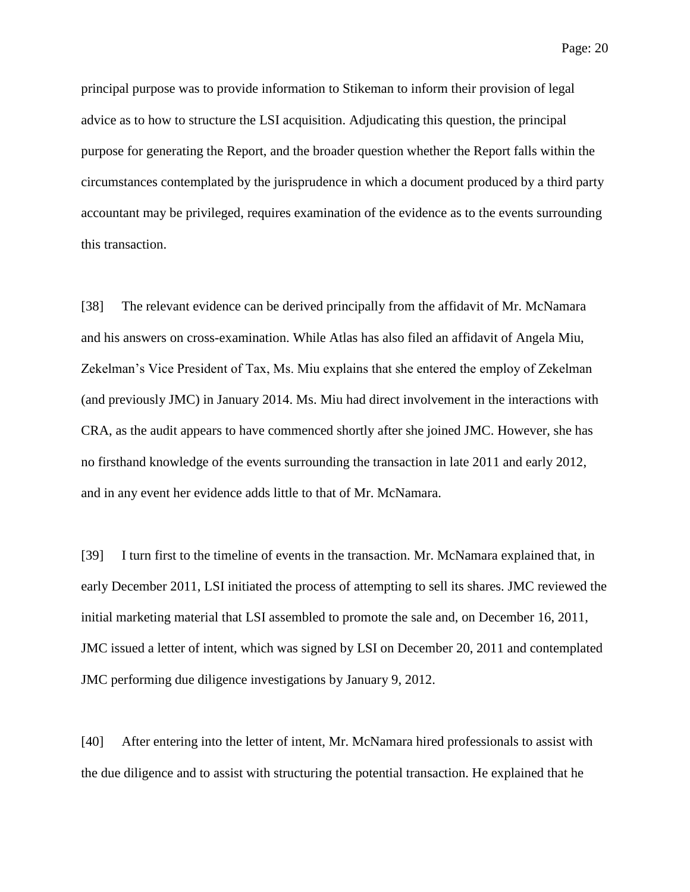principal purpose was to provide information to Stikeman to inform their provision of legal advice as to how to structure the LSI acquisition. Adjudicating this question, the principal purpose for generating the Report, and the broader question whether the Report falls within the circumstances contemplated by the jurisprudence in which a document produced by a third party accountant may be privileged, requires examination of the evidence as to the events surrounding this transaction.

[38] The relevant evidence can be derived principally from the affidavit of Mr. McNamara and his answers on cross-examination. While Atlas has also filed an affidavit of Angela Miu, Zekelman's Vice President of Tax, Ms. Miu explains that she entered the employ of Zekelman (and previously JMC) in January 2014. Ms. Miu had direct involvement in the interactions with CRA, as the audit appears to have commenced shortly after she joined JMC. However, she has no firsthand knowledge of the events surrounding the transaction in late 2011 and early 2012, and in any event her evidence adds little to that of Mr. McNamara.

[39] I turn first to the timeline of events in the transaction. Mr. McNamara explained that, in early December 2011, LSI initiated the process of attempting to sell its shares. JMC reviewed the initial marketing material that LSI assembled to promote the sale and, on December 16, 2011, JMC issued a letter of intent, which was signed by LSI on December 20, 2011 and contemplated JMC performing due diligence investigations by January 9, 2012.

[40] After entering into the letter of intent, Mr. McNamara hired professionals to assist with the due diligence and to assist with structuring the potential transaction. He explained that he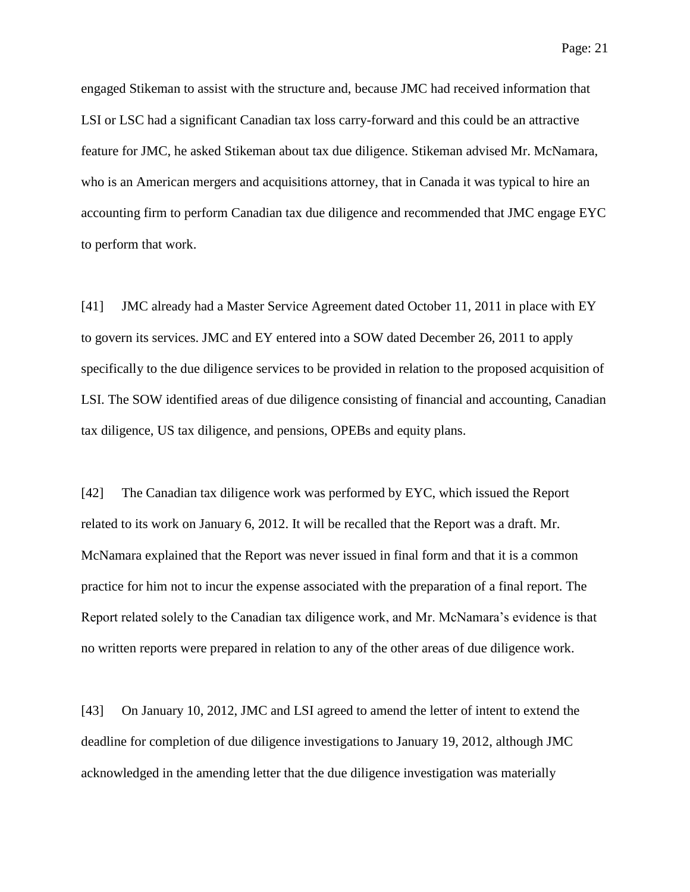Page: 21

engaged Stikeman to assist with the structure and, because JMC had received information that LSI or LSC had a significant Canadian tax loss carry-forward and this could be an attractive feature for JMC, he asked Stikeman about tax due diligence. Stikeman advised Mr. McNamara, who is an American mergers and acquisitions attorney, that in Canada it was typical to hire an accounting firm to perform Canadian tax due diligence and recommended that JMC engage EYC to perform that work.

[41] JMC already had a Master Service Agreement dated October 11, 2011 in place with EY to govern its services. JMC and EY entered into a SOW dated December 26, 2011 to apply specifically to the due diligence services to be provided in relation to the proposed acquisition of LSI. The SOW identified areas of due diligence consisting of financial and accounting, Canadian tax diligence, US tax diligence, and pensions, OPEBs and equity plans.

[42] The Canadian tax diligence work was performed by EYC, which issued the Report related to its work on January 6, 2012. It will be recalled that the Report was a draft. Mr. McNamara explained that the Report was never issued in final form and that it is a common practice for him not to incur the expense associated with the preparation of a final report. The Report related solely to the Canadian tax diligence work, and Mr. McNamara's evidence is that no written reports were prepared in relation to any of the other areas of due diligence work.

[43] On January 10, 2012, JMC and LSI agreed to amend the letter of intent to extend the deadline for completion of due diligence investigations to January 19, 2012, although JMC acknowledged in the amending letter that the due diligence investigation was materially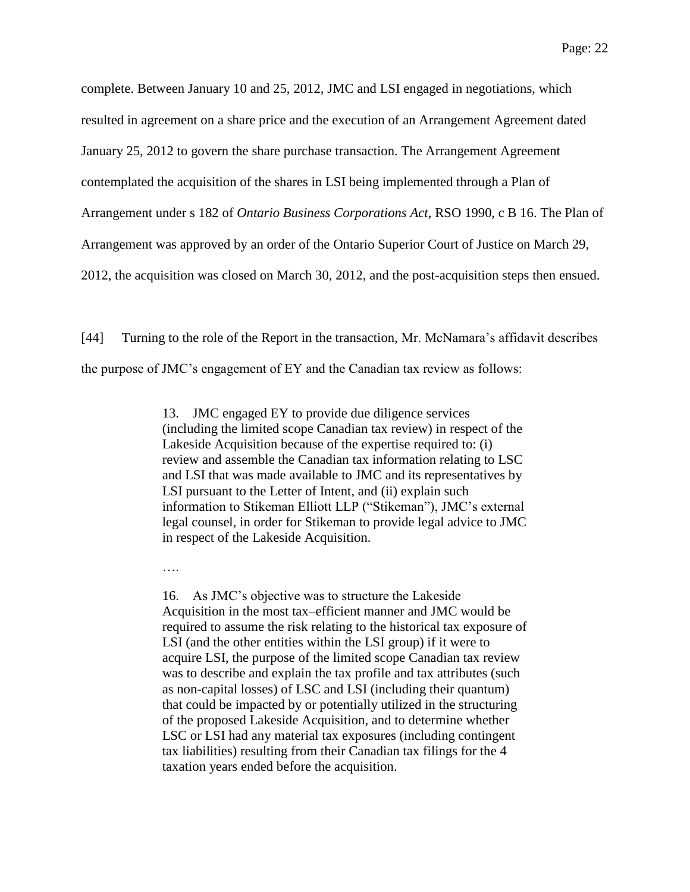complete. Between January 10 and 25, 2012, JMC and LSI engaged in negotiations, which resulted in agreement on a share price and the execution of an Arrangement Agreement dated January 25, 2012 to govern the share purchase transaction. The Arrangement Agreement contemplated the acquisition of the shares in LSI being implemented through a Plan of Arrangement under s 182 of *Ontario Business Corporations Act*, RSO 1990, c B 16. The Plan of Arrangement was approved by an order of the Ontario Superior Court of Justice on March 29, 2012, the acquisition was closed on March 30, 2012, and the post-acquisition steps then ensued.

[44] Turning to the role of the Report in the transaction, Mr. McNamara's affidavit describes the purpose of JMC's engagement of EY and the Canadian tax review as follows:

> 13. JMC engaged EY to provide due diligence services (including the limited scope Canadian tax review) in respect of the Lakeside Acquisition because of the expertise required to: (i) review and assemble the Canadian tax information relating to LSC and LSI that was made available to JMC and its representatives by LSI pursuant to the Letter of Intent, and (ii) explain such information to Stikeman Elliott LLP ("Stikeman"), JMC's external legal counsel, in order for Stikeman to provide legal advice to JMC in respect of the Lakeside Acquisition.

….

16. As JMC's objective was to structure the Lakeside Acquisition in the most tax–efficient manner and JMC would be required to assume the risk relating to the historical tax exposure of LSI (and the other entities within the LSI group) if it were to acquire LSI, the purpose of the limited scope Canadian tax review was to describe and explain the tax profile and tax attributes (such as non-capital losses) of LSC and LSI (including their quantum) that could be impacted by or potentially utilized in the structuring of the proposed Lakeside Acquisition, and to determine whether LSC or LSI had any material tax exposures (including contingent tax liabilities) resulting from their Canadian tax filings for the 4 taxation years ended before the acquisition.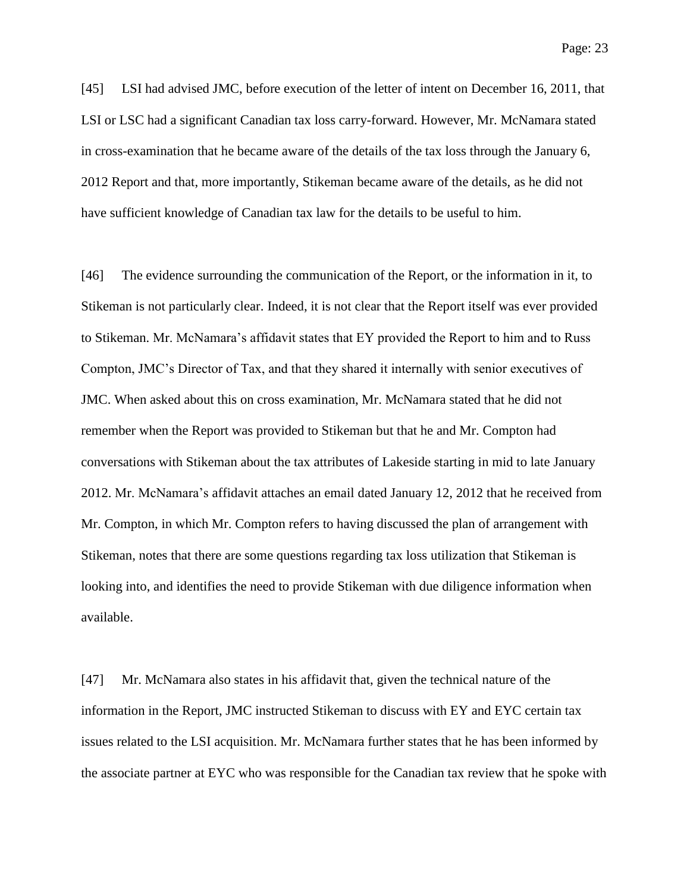[45] LSI had advised JMC, before execution of the letter of intent on December 16, 2011, that LSI or LSC had a significant Canadian tax loss carry-forward. However, Mr. McNamara stated in cross-examination that he became aware of the details of the tax loss through the January 6, 2012 Report and that, more importantly, Stikeman became aware of the details, as he did not have sufficient knowledge of Canadian tax law for the details to be useful to him.

[46] The evidence surrounding the communication of the Report, or the information in it, to Stikeman is not particularly clear. Indeed, it is not clear that the Report itself was ever provided to Stikeman. Mr. McNamara's affidavit states that EY provided the Report to him and to Russ Compton, JMC's Director of Tax, and that they shared it internally with senior executives of JMC. When asked about this on cross examination, Mr. McNamara stated that he did not remember when the Report was provided to Stikeman but that he and Mr. Compton had conversations with Stikeman about the tax attributes of Lakeside starting in mid to late January 2012. Mr. McNamara's affidavit attaches an email dated January 12, 2012 that he received from Mr. Compton, in which Mr. Compton refers to having discussed the plan of arrangement with Stikeman, notes that there are some questions regarding tax loss utilization that Stikeman is looking into, and identifies the need to provide Stikeman with due diligence information when available.

[47] Mr. McNamara also states in his affidavit that, given the technical nature of the information in the Report, JMC instructed Stikeman to discuss with EY and EYC certain tax issues related to the LSI acquisition. Mr. McNamara further states that he has been informed by the associate partner at EYC who was responsible for the Canadian tax review that he spoke with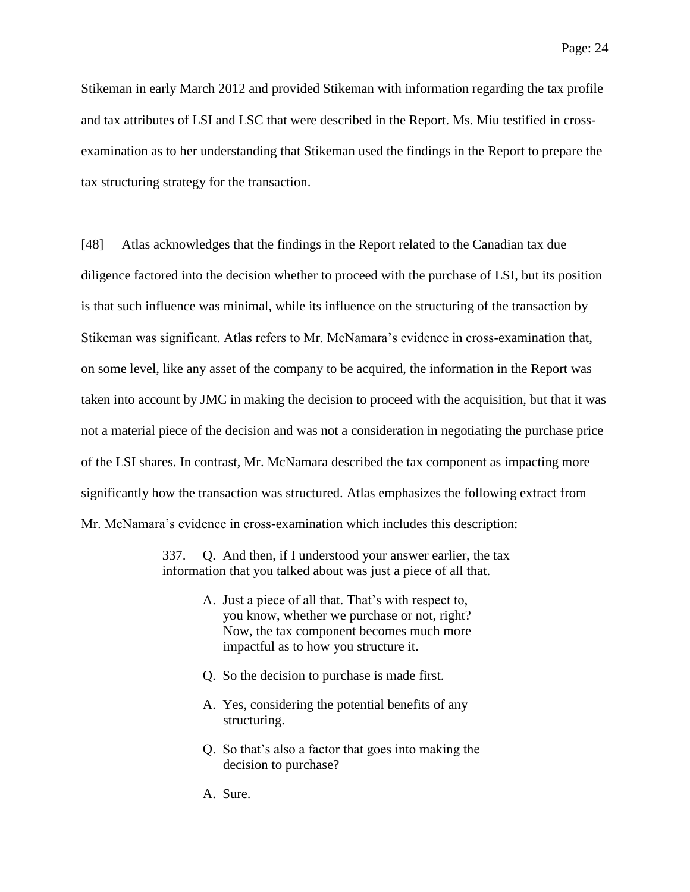Stikeman in early March 2012 and provided Stikeman with information regarding the tax profile and tax attributes of LSI and LSC that were described in the Report. Ms. Miu testified in crossexamination as to her understanding that Stikeman used the findings in the Report to prepare the tax structuring strategy for the transaction.

[48] Atlas acknowledges that the findings in the Report related to the Canadian tax due diligence factored into the decision whether to proceed with the purchase of LSI, but its position is that such influence was minimal, while its influence on the structuring of the transaction by Stikeman was significant. Atlas refers to Mr. McNamara's evidence in cross-examination that, on some level, like any asset of the company to be acquired, the information in the Report was taken into account by JMC in making the decision to proceed with the acquisition, but that it was not a material piece of the decision and was not a consideration in negotiating the purchase price of the LSI shares. In contrast, Mr. McNamara described the tax component as impacting more significantly how the transaction was structured. Atlas emphasizes the following extract from Mr. McNamara's evidence in cross-examination which includes this description:

> 337. Q. And then, if I understood your answer earlier, the tax information that you talked about was just a piece of all that.

- A. Just a piece of all that. That's with respect to, you know, whether we purchase or not, right? Now, the tax component becomes much more impactful as to how you structure it.
- Q. So the decision to purchase is made first.
- A. Yes, considering the potential benefits of any structuring.
- Q. So that's also a factor that goes into making the decision to purchase?
- A. Sure.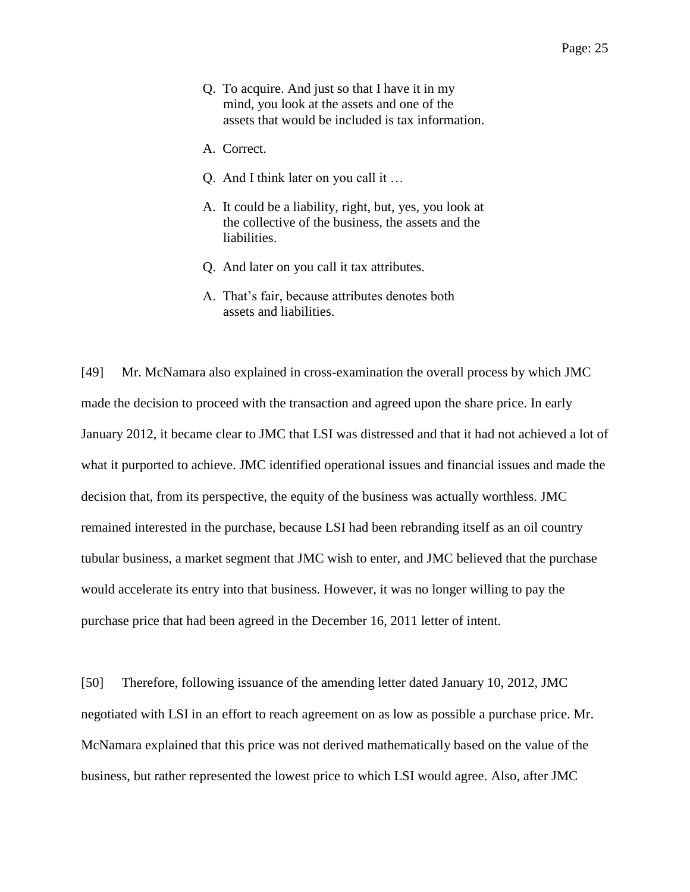- Q. To acquire. And just so that I have it in my mind, you look at the assets and one of the assets that would be included is tax information.
- A. Correct.
- Q. And I think later on you call it …
- A. It could be a liability, right, but, yes, you look at the collective of the business, the assets and the liabilities.
- Q. And later on you call it tax attributes.
- A. That's fair, because attributes denotes both assets and liabilities.

[49] Mr. McNamara also explained in cross-examination the overall process by which JMC made the decision to proceed with the transaction and agreed upon the share price. In early January 2012, it became clear to JMC that LSI was distressed and that it had not achieved a lot of what it purported to achieve. JMC identified operational issues and financial issues and made the decision that, from its perspective, the equity of the business was actually worthless. JMC remained interested in the purchase, because LSI had been rebranding itself as an oil country tubular business, a market segment that JMC wish to enter, and JMC believed that the purchase would accelerate its entry into that business. However, it was no longer willing to pay the purchase price that had been agreed in the December 16, 2011 letter of intent.

[50] Therefore, following issuance of the amending letter dated January 10, 2012, JMC negotiated with LSI in an effort to reach agreement on as low as possible a purchase price. Mr. McNamara explained that this price was not derived mathematically based on the value of the business, but rather represented the lowest price to which LSI would agree. Also, after JMC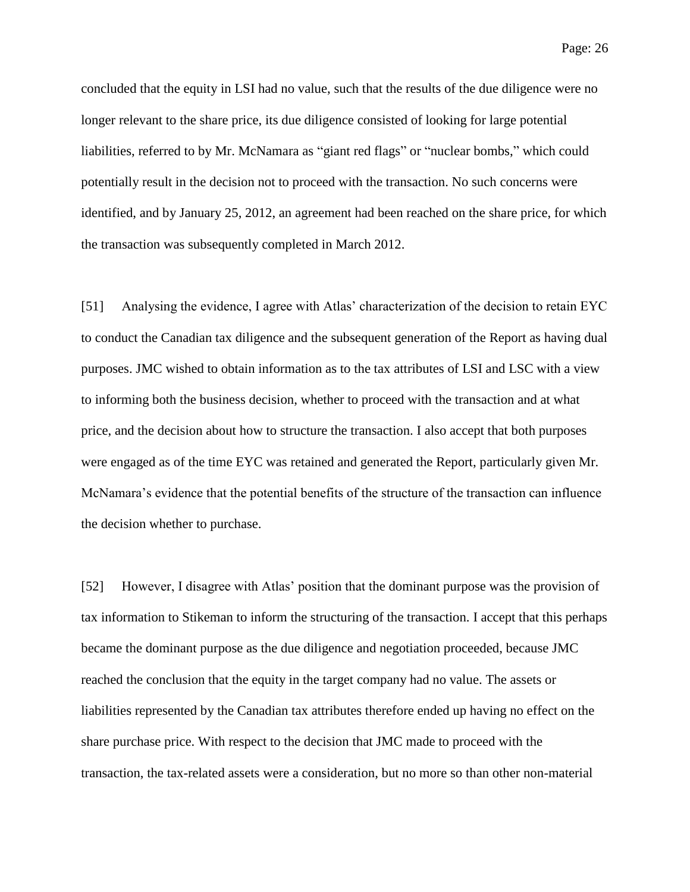concluded that the equity in LSI had no value, such that the results of the due diligence were no longer relevant to the share price, its due diligence consisted of looking for large potential liabilities, referred to by Mr. McNamara as "giant red flags" or "nuclear bombs," which could potentially result in the decision not to proceed with the transaction. No such concerns were identified, and by January 25, 2012, an agreement had been reached on the share price, for which the transaction was subsequently completed in March 2012.

[51] Analysing the evidence, I agree with Atlas' characterization of the decision to retain EYC to conduct the Canadian tax diligence and the subsequent generation of the Report as having dual purposes. JMC wished to obtain information as to the tax attributes of LSI and LSC with a view to informing both the business decision, whether to proceed with the transaction and at what price, and the decision about how to structure the transaction. I also accept that both purposes were engaged as of the time EYC was retained and generated the Report, particularly given Mr. McNamara's evidence that the potential benefits of the structure of the transaction can influence the decision whether to purchase.

[52] However, I disagree with Atlas' position that the dominant purpose was the provision of tax information to Stikeman to inform the structuring of the transaction. I accept that this perhaps became the dominant purpose as the due diligence and negotiation proceeded, because JMC reached the conclusion that the equity in the target company had no value. The assets or liabilities represented by the Canadian tax attributes therefore ended up having no effect on the share purchase price. With respect to the decision that JMC made to proceed with the transaction, the tax-related assets were a consideration, but no more so than other non-material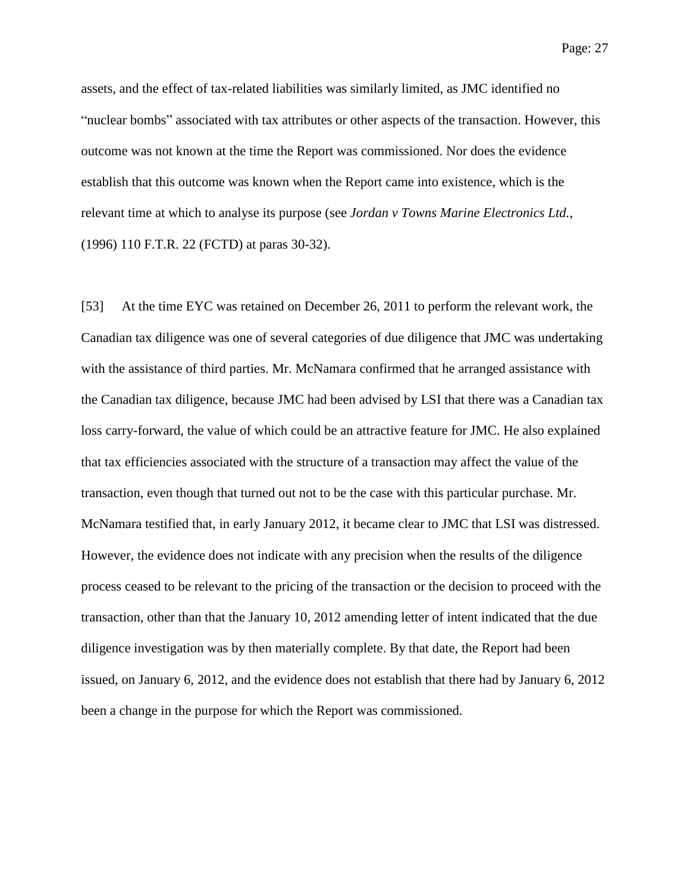Page: 27

assets, and the effect of tax-related liabilities was similarly limited, as JMC identified no "nuclear bombs" associated with tax attributes or other aspects of the transaction. However, this outcome was not known at the time the Report was commissioned. Nor does the evidence establish that this outcome was known when the Report came into existence, which is the relevant time at which to analyse its purpose (see *Jordan v Towns Marine Electronics Ltd.*, (1996) 110 F.T.R. 22 (FCTD) at paras 30-32).

[53] At the time EYC was retained on December 26, 2011 to perform the relevant work, the Canadian tax diligence was one of several categories of due diligence that JMC was undertaking with the assistance of third parties. Mr. McNamara confirmed that he arranged assistance with the Canadian tax diligence, because JMC had been advised by LSI that there was a Canadian tax loss carry-forward, the value of which could be an attractive feature for JMC. He also explained that tax efficiencies associated with the structure of a transaction may affect the value of the transaction, even though that turned out not to be the case with this particular purchase. Mr. McNamara testified that, in early January 2012, it became clear to JMC that LSI was distressed. However, the evidence does not indicate with any precision when the results of the diligence process ceased to be relevant to the pricing of the transaction or the decision to proceed with the transaction, other than that the January 10, 2012 amending letter of intent indicated that the due diligence investigation was by then materially complete. By that date, the Report had been issued, on January 6, 2012, and the evidence does not establish that there had by January 6, 2012 been a change in the purpose for which the Report was commissioned.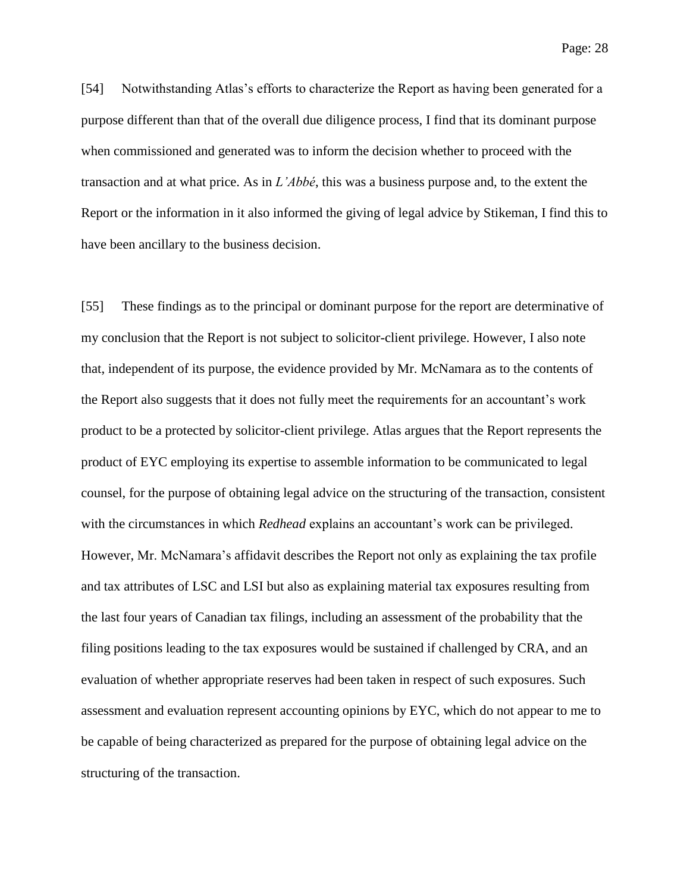[54] Notwithstanding Atlas's efforts to characterize the Report as having been generated for a purpose different than that of the overall due diligence process, I find that its dominant purpose when commissioned and generated was to inform the decision whether to proceed with the transaction and at what price. As in *L'Abbé*, this was a business purpose and, to the extent the Report or the information in it also informed the giving of legal advice by Stikeman, I find this to have been ancillary to the business decision.

[55] These findings as to the principal or dominant purpose for the report are determinative of my conclusion that the Report is not subject to solicitor-client privilege. However, I also note that, independent of its purpose, the evidence provided by Mr. McNamara as to the contents of the Report also suggests that it does not fully meet the requirements for an accountant's work product to be a protected by solicitor-client privilege. Atlas argues that the Report represents the product of EYC employing its expertise to assemble information to be communicated to legal counsel, for the purpose of obtaining legal advice on the structuring of the transaction, consistent with the circumstances in which *Redhead* explains an accountant's work can be privileged. However, Mr. McNamara's affidavit describes the Report not only as explaining the tax profile and tax attributes of LSC and LSI but also as explaining material tax exposures resulting from the last four years of Canadian tax filings, including an assessment of the probability that the filing positions leading to the tax exposures would be sustained if challenged by CRA, and an evaluation of whether appropriate reserves had been taken in respect of such exposures. Such assessment and evaluation represent accounting opinions by EYC, which do not appear to me to be capable of being characterized as prepared for the purpose of obtaining legal advice on the structuring of the transaction.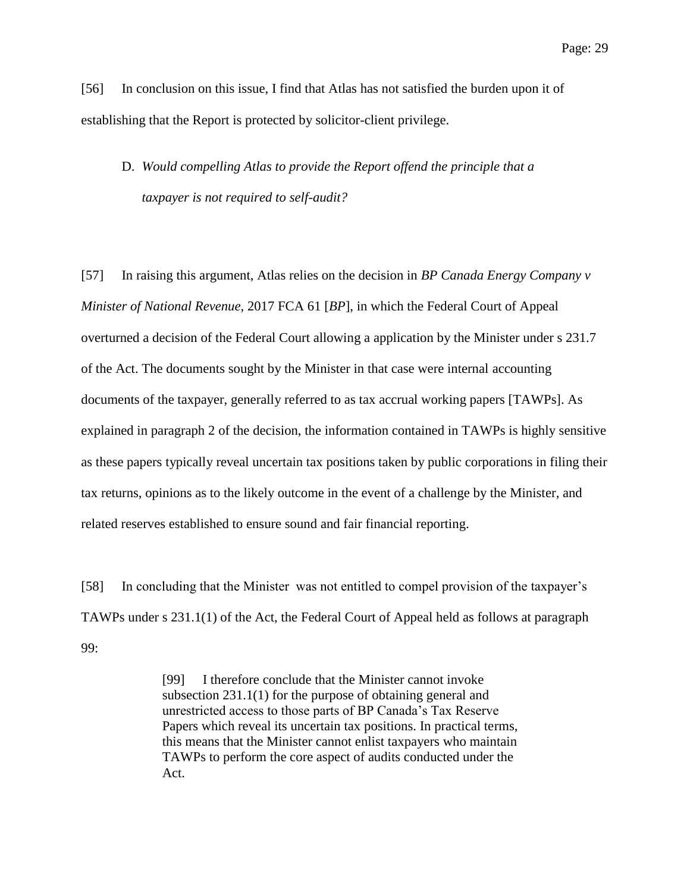[56] In conclusion on this issue, I find that Atlas has not satisfied the burden upon it of establishing that the Report is protected by solicitor-client privilege.

# D. *Would compelling Atlas to provide the Report offend the principle that a taxpayer is not required to self-audit?*

[57] In raising this argument, Atlas relies on the decision in *BP Canada Energy Company v Minister of National Revenue*, 2017 FCA 61 [*BP*], in which the Federal Court of Appeal overturned a decision of the Federal Court allowing a application by the Minister under s 231.7 of the Act. The documents sought by the Minister in that case were internal accounting documents of the taxpayer, generally referred to as tax accrual working papers [TAWPs]. As explained in paragraph 2 of the decision, the information contained in TAWPs is highly sensitive as these papers typically reveal uncertain tax positions taken by public corporations in filing their tax returns, opinions as to the likely outcome in the event of a challenge by the Minister, and related reserves established to ensure sound and fair financial reporting.

[58] In concluding that the Minister was not entitled to compel provision of the taxpayer's TAWPs under s 231.1(1) of the Act, the Federal Court of Appeal held as follows at paragraph 99:

> [99] I therefore conclude that the Minister cannot invoke subsection 231.1(1) for the purpose of obtaining general and unrestricted access to those parts of BP Canada's Tax Reserve Papers which reveal its uncertain tax positions. In practical terms, this means that the Minister cannot enlist taxpayers who maintain TAWPs to perform the core aspect of audits conducted under the Act.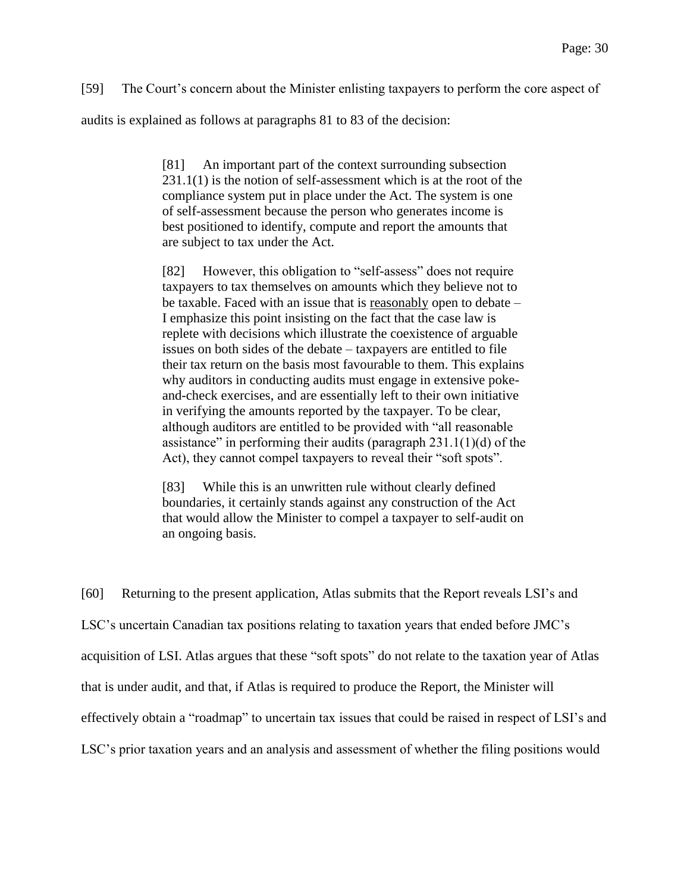[59] The Court's concern about the Minister enlisting taxpayers to perform the core aspect of

audits is explained as follows at paragraphs 81 to 83 of the decision:

[81] An important part of the context surrounding subsection 231.1(1) is the notion of self-assessment which is at the root of the compliance system put in place under the Act. The system is one of self-assessment because the person who generates income is best positioned to identify, compute and report the amounts that are subject to tax under the Act.

[82] However, this obligation to "self-assess" does not require taxpayers to tax themselves on amounts which they believe not to be taxable. Faced with an issue that is reasonably open to debate – I emphasize this point insisting on the fact that the case law is replete with decisions which illustrate the coexistence of arguable issues on both sides of the debate – taxpayers are entitled to file their tax return on the basis most favourable to them. This explains why auditors in conducting audits must engage in extensive pokeand-check exercises, and are essentially left to their own initiative in verifying the amounts reported by the taxpayer. To be clear, although auditors are entitled to be provided with "all reasonable assistance" in performing their audits (paragraph  $231.1(1)(d)$  of the Act), they cannot compel taxpayers to reveal their "soft spots".

[83] While this is an unwritten rule without clearly defined boundaries, it certainly stands against any construction of the Act that would allow the Minister to compel a taxpayer to self-audit on an ongoing basis.

[60] Returning to the present application, Atlas submits that the Report reveals LSI's and LSC's uncertain Canadian tax positions relating to taxation years that ended before JMC's acquisition of LSI. Atlas argues that these "soft spots" do not relate to the taxation year of Atlas that is under audit, and that, if Atlas is required to produce the Report, the Minister will effectively obtain a "roadmap" to uncertain tax issues that could be raised in respect of LSI's and LSC's prior taxation years and an analysis and assessment of whether the filing positions would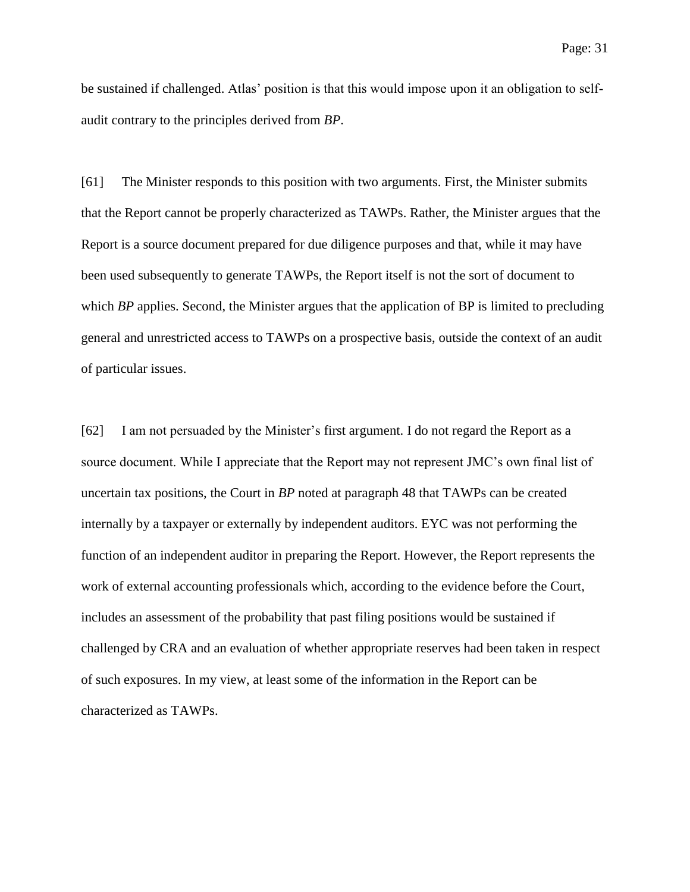be sustained if challenged. Atlas' position is that this would impose upon it an obligation to selfaudit contrary to the principles derived from *BP*.

[61] The Minister responds to this position with two arguments. First, the Minister submits that the Report cannot be properly characterized as TAWPs. Rather, the Minister argues that the Report is a source document prepared for due diligence purposes and that, while it may have been used subsequently to generate TAWPs, the Report itself is not the sort of document to which *BP* applies. Second, the Minister argues that the application of BP is limited to precluding general and unrestricted access to TAWPs on a prospective basis, outside the context of an audit of particular issues.

[62] I am not persuaded by the Minister's first argument. I do not regard the Report as a source document. While I appreciate that the Report may not represent JMC's own final list of uncertain tax positions, the Court in *BP* noted at paragraph 48 that TAWPs can be created internally by a taxpayer or externally by independent auditors. EYC was not performing the function of an independent auditor in preparing the Report. However, the Report represents the work of external accounting professionals which, according to the evidence before the Court, includes an assessment of the probability that past filing positions would be sustained if challenged by CRA and an evaluation of whether appropriate reserves had been taken in respect of such exposures. In my view, at least some of the information in the Report can be characterized as TAWPs.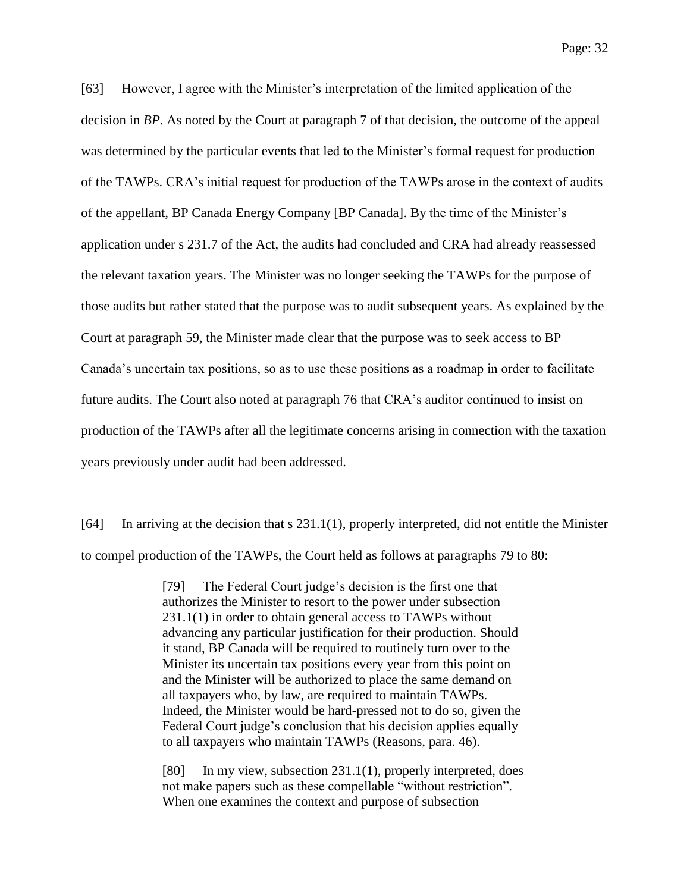[63] However, I agree with the Minister's interpretation of the limited application of the decision in *BP*. As noted by the Court at paragraph 7 of that decision, the outcome of the appeal was determined by the particular events that led to the Minister's formal request for production of the TAWPs. CRA's initial request for production of the TAWPs arose in the context of audits of the appellant, BP Canada Energy Company [BP Canada]. By the time of the Minister's application under s 231.7 of the Act, the audits had concluded and CRA had already reassessed the relevant taxation years. The Minister was no longer seeking the TAWPs for the purpose of those audits but rather stated that the purpose was to audit subsequent years. As explained by the Court at paragraph 59, the Minister made clear that the purpose was to seek access to BP Canada's uncertain tax positions, so as to use these positions as a roadmap in order to facilitate future audits. The Court also noted at paragraph 76 that CRA's auditor continued to insist on production of the TAWPs after all the legitimate concerns arising in connection with the taxation years previously under audit had been addressed.

[64] In arriving at the decision that s 231.1(1), properly interpreted, did not entitle the Minister to compel production of the TAWPs, the Court held as follows at paragraphs 79 to 80:

> [79] The Federal Court judge's decision is the first one that authorizes the Minister to resort to the power under subsection 231.1(1) in order to obtain general access to TAWPs without advancing any particular justification for their production. Should it stand, BP Canada will be required to routinely turn over to the Minister its uncertain tax positions every year from this point on and the Minister will be authorized to place the same demand on all taxpayers who, by law, are required to maintain TAWPs. Indeed, the Minister would be hard-pressed not to do so, given the Federal Court judge's conclusion that his decision applies equally to all taxpayers who maintain TAWPs (Reasons, para. 46).

> [80] In my view, subsection 231.1(1), properly interpreted, does not make papers such as these compellable "without restriction". When one examines the context and purpose of subsection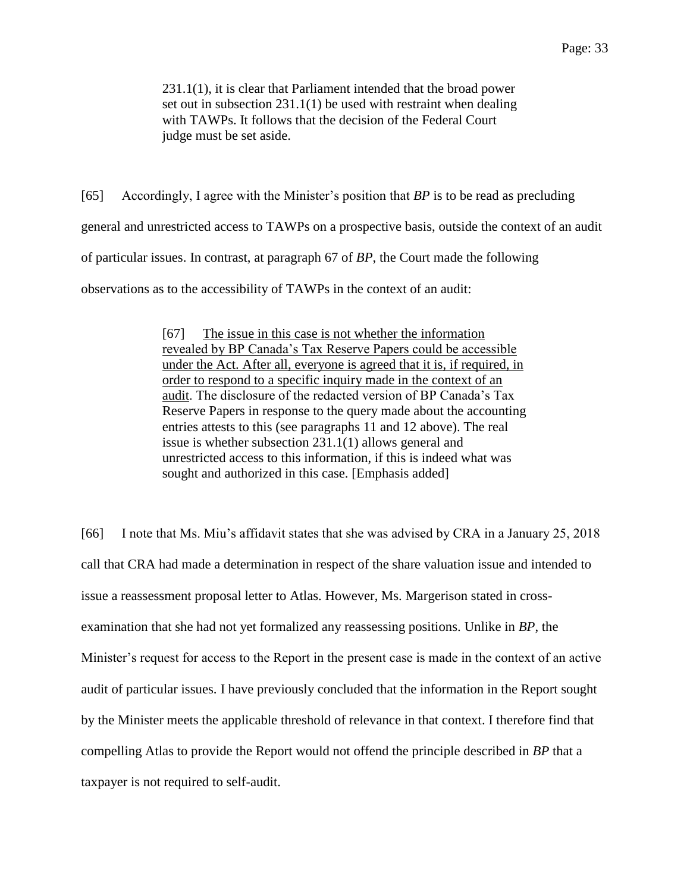231.1(1), it is clear that Parliament intended that the broad power set out in subsection 231.1(1) be used with restraint when dealing with TAWPs. It follows that the decision of the Federal Court judge must be set aside.

[65] Accordingly, I agree with the Minister's position that *BP* is to be read as precluding general and unrestricted access to TAWPs on a prospective basis, outside the context of an audit of particular issues. In contrast, at paragraph 67 of *BP*, the Court made the following observations as to the accessibility of TAWPs in the context of an audit:

> [67] The issue in this case is not whether the information revealed by BP Canada's Tax Reserve Papers could be accessible under the Act. After all, everyone is agreed that it is, if required, in order to respond to a specific inquiry made in the context of an audit. The disclosure of the redacted version of BP Canada's Tax Reserve Papers in response to the query made about the accounting entries attests to this (see paragraphs 11 and 12 above). The real issue is whether subsection 231.1(1) allows general and unrestricted access to this information, if this is indeed what was sought and authorized in this case. [Emphasis added]

[66] I note that Ms. Miu's affidavit states that she was advised by CRA in a January 25, 2018 call that CRA had made a determination in respect of the share valuation issue and intended to issue a reassessment proposal letter to Atlas. However, Ms. Margerison stated in crossexamination that she had not yet formalized any reassessing positions. Unlike in *BP*, the Minister's request for access to the Report in the present case is made in the context of an active audit of particular issues. I have previously concluded that the information in the Report sought by the Minister meets the applicable threshold of relevance in that context. I therefore find that compelling Atlas to provide the Report would not offend the principle described in *BP* that a taxpayer is not required to self-audit.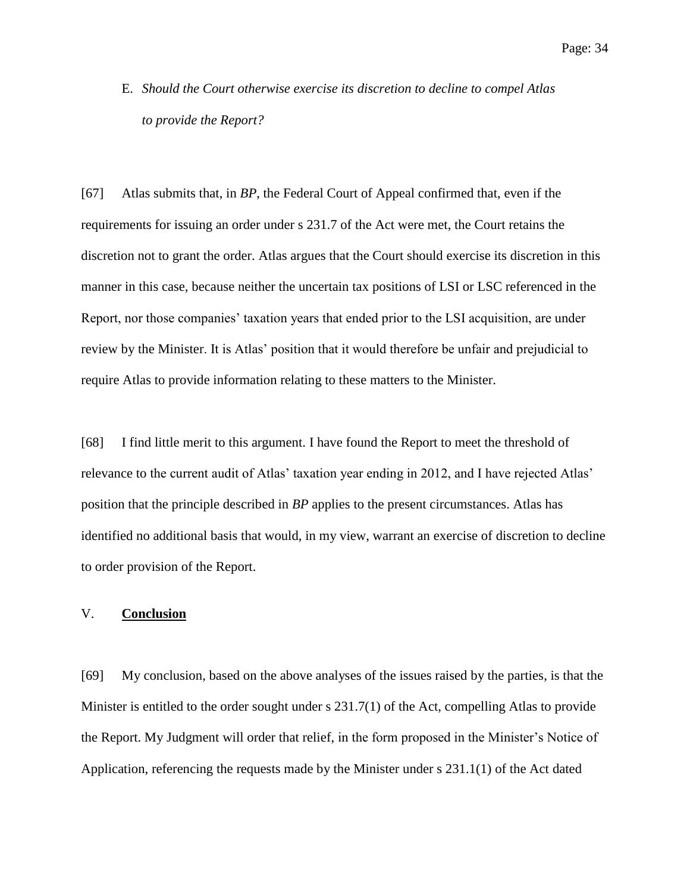E. *Should the Court otherwise exercise its discretion to decline to compel Atlas to provide the Report?*

[67] Atlas submits that, in *BP*, the Federal Court of Appeal confirmed that, even if the requirements for issuing an order under s 231.7 of the Act were met, the Court retains the discretion not to grant the order. Atlas argues that the Court should exercise its discretion in this manner in this case, because neither the uncertain tax positions of LSI or LSC referenced in the Report, nor those companies' taxation years that ended prior to the LSI acquisition, are under review by the Minister. It is Atlas' position that it would therefore be unfair and prejudicial to require Atlas to provide information relating to these matters to the Minister.

[68] I find little merit to this argument. I have found the Report to meet the threshold of relevance to the current audit of Atlas' taxation year ending in 2012, and I have rejected Atlas' position that the principle described in *BP* applies to the present circumstances. Atlas has identified no additional basis that would, in my view, warrant an exercise of discretion to decline to order provision of the Report.

## V. **Conclusion**

[69] My conclusion, based on the above analyses of the issues raised by the parties, is that the Minister is entitled to the order sought under s 231.7(1) of the Act, compelling Atlas to provide the Report. My Judgment will order that relief, in the form proposed in the Minister's Notice of Application, referencing the requests made by the Minister under s 231.1(1) of the Act dated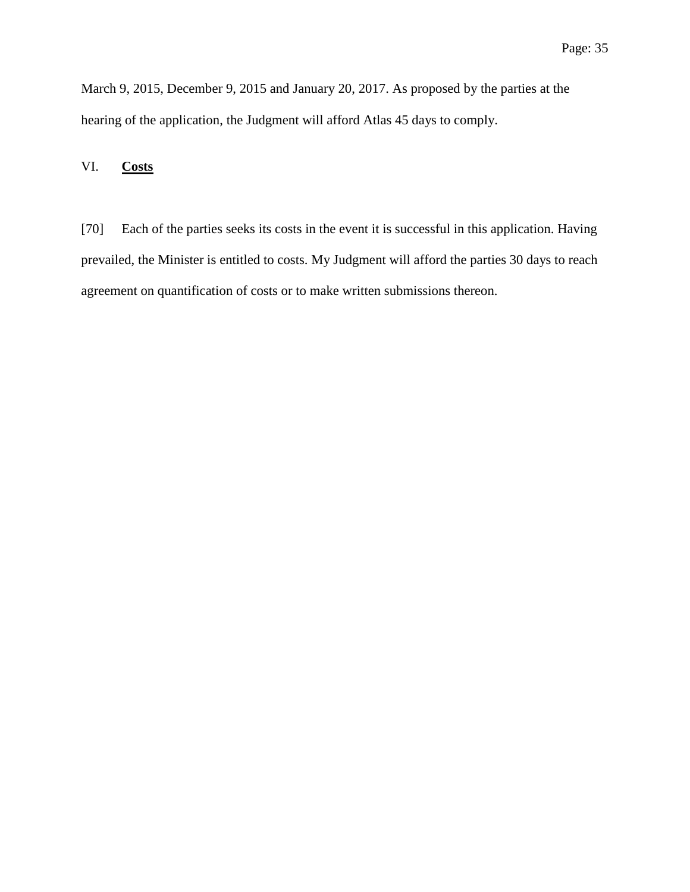March 9, 2015, December 9, 2015 and January 20, 2017. As proposed by the parties at the hearing of the application, the Judgment will afford Atlas 45 days to comply.

## VI. **Costs**

[70] Each of the parties seeks its costs in the event it is successful in this application. Having prevailed, the Minister is entitled to costs. My Judgment will afford the parties 30 days to reach agreement on quantification of costs or to make written submissions thereon.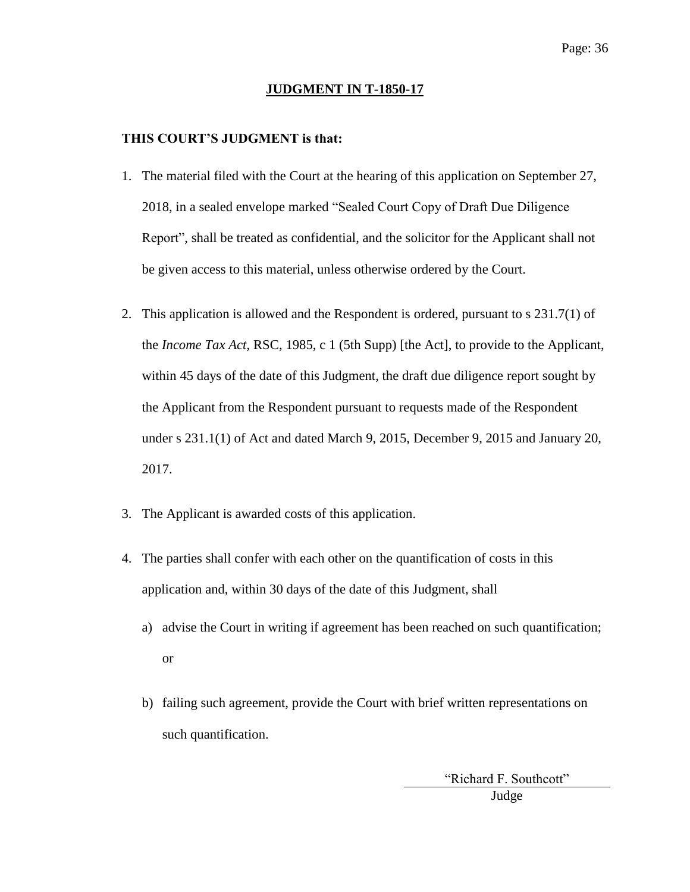### **JUDGMENT IN T-1850-17**

### **THIS COURT'S JUDGMENT is that:**

- 1. The material filed with the Court at the hearing of this application on September 27, 2018, in a sealed envelope marked "Sealed Court Copy of Draft Due Diligence Report", shall be treated as confidential, and the solicitor for the Applicant shall not be given access to this material, unless otherwise ordered by the Court.
- 2. This application is allowed and the Respondent is ordered, pursuant to s 231.7(1) of the *Income Tax Act*, RSC, 1985, c 1 (5th Supp) [the Act], to provide to the Applicant, within 45 days of the date of this Judgment, the draft due diligence report sought by the Applicant from the Respondent pursuant to requests made of the Respondent under s 231.1(1) of Act and dated March 9, 2015, December 9, 2015 and January 20, 2017.
- 3. The Applicant is awarded costs of this application.
- 4. The parties shall confer with each other on the quantification of costs in this application and, within 30 days of the date of this Judgment, shall
	- a) advise the Court in writing if agreement has been reached on such quantification; or
	- b) failing such agreement, provide the Court with brief written representations on such quantification.

"Richard F. Southcott" Judge